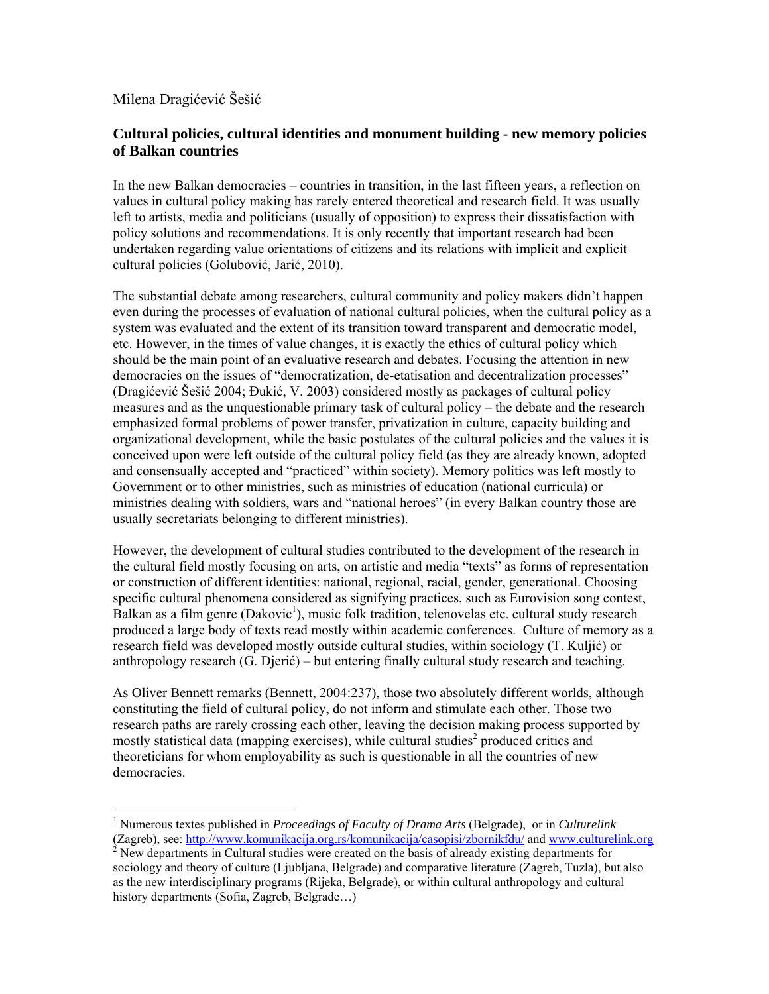# Milena Dragićević Šešić

 $\overline{a}$ 

## **Cultural policies, cultural identities and monument building - new memory policies of Balkan countries**

In the new Balkan democracies – countries in transition, in the last fifteen years, a reflection on values in cultural policy making has rarely entered theoretical and research field. It was usually left to artists, media and politicians (usually of opposition) to express their dissatisfaction with policy solutions and recommendations. It is only recently that important research had been undertaken regarding value orientations of citizens and its relations with implicit and explicit cultural policies (Golubović, Jarić, 2010).

The substantial debate among researchers, cultural community and policy makers didn't happen even during the processes of evaluation of national cultural policies, when the cultural policy as a system was evaluated and the extent of its transition toward transparent and democratic model, etc. However, in the times of value changes, it is exactly the ethics of cultural policy which should be the main point of an evaluative research and debates. Focusing the attention in new democracies on the issues of "democratization, de-etatisation and decentralization processes" (Dragićević Šešić 2004; Đukić, V. 2003) considered mostly as packages of cultural policy measures and as the unquestionable primary task of cultural policy – the debate and the research emphasized formal problems of power transfer, privatization in culture, capacity building and organizational development, while the basic postulates of the cultural policies and the values it is conceived upon were left outside of the cultural policy field (as they are already known, adopted and consensually accepted and "practiced" within society). Memory politics was left mostly to Government or to other ministries, such as ministries of education (national curricula) or ministries dealing with soldiers, wars and "national heroes" (in every Balkan country those are usually secretariats belonging to different ministries).

However, the development of cultural studies contributed to the development of the research in the cultural field mostly focusing on arts, on artistic and media "texts" as forms of representation or construction of different identities: national, regional, racial, gender, generational. Choosing specific cultural phenomena considered as signifying practices, such as Eurovision song contest,  $Balkan$  as a film genre (Dakovic<sup>[1](#page-0-0)</sup>), music folk tradition, telenovelas etc. cultural study research produced a large body of texts read mostly within academic conferences. Culture of memory as a research field was developed mostly outside cultural studies, within sociology (T. Kuljić) or anthropology research (G. Djerić) – but entering finally cultural study research and teaching.

As Oliver Bennett remarks (Bennett, 2004:237), those two absolutely different worlds, although constituting the field of cultural policy, do not inform and stimulate each other. Those two research paths are rarely crossing each other, leaving the decision making process supported by mostly statistical data (mapping exercises), while cultural studies<sup>[2](#page-0-1)</sup> produced critics and theoreticians for whom employability as such is questionable in all the countries of new democracies.

<span id="page-0-0"></span><sup>1</sup> Numerous textes published in *Proceedings of Faculty of Drama Arts* (Belgrade), or in *Culturelink* (Zagreb), see:<http://www.komunikacija.org.rs/komunikacija/casopisi/zbornikfdu/>and [www.culturelink.org](http://www.culturelink.org/) <sup>2</sup>

<span id="page-0-1"></span> $<sup>2</sup>$  New departments in Cultural studies were created on the basis of already existing departments for</sup> sociology and theory of culture (Ljubljana, Belgrade) and comparative literature (Zagreb, Tuzla), but also as the new interdisciplinary programs (Rijeka, Belgrade), or within cultural anthropology and cultural history departments (Sofia, Zagreb, Belgrade…)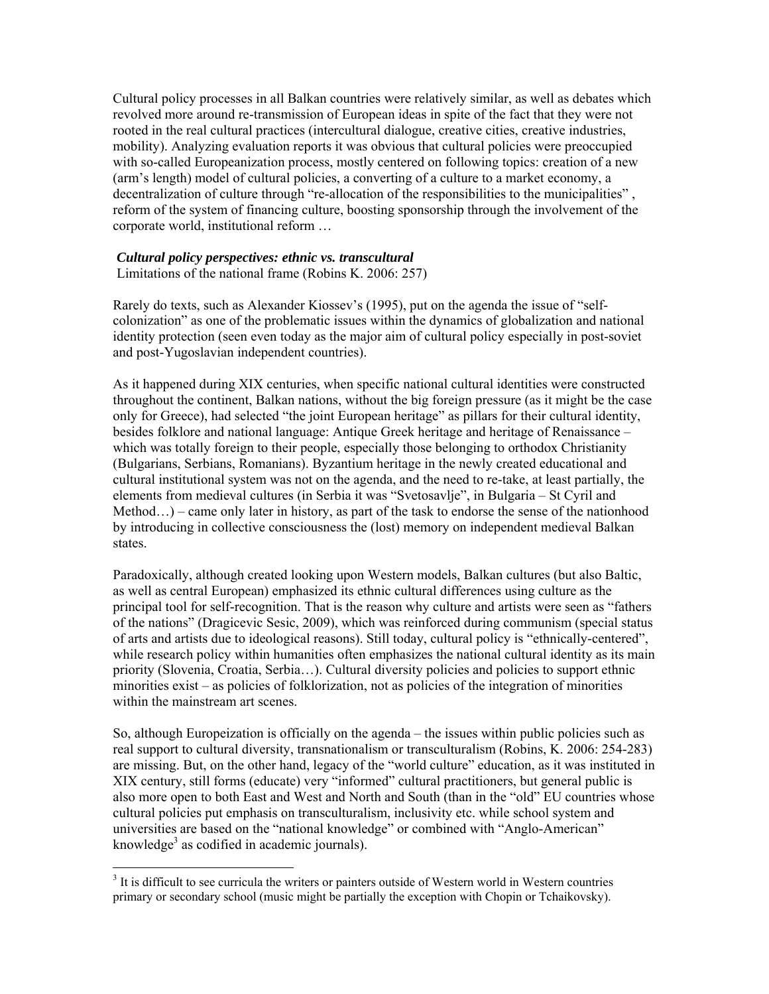Cultural policy processes in all Balkan countries were relatively similar, as well as debates which revolved more around re-transmission of European ideas in spite of the fact that they were not rooted in the real cultural practices (intercultural dialogue, creative cities, creative industries, mobility). Analyzing evaluation reports it was obvious that cultural policies were preoccupied with so-called Europeanization process, mostly centered on following topics: creation of a new (arm's length) model of cultural policies, a converting of a culture to a market economy, a decentralization of culture through "re-allocation of the responsibilities to the municipalities", reform of the system of financing culture, boosting sponsorship through the involvement of the corporate world, institutional reform …

#### *Cultural policy perspectives: ethnic vs. transcultural*

Limitations of the national frame (Robins K. 2006: 257)

Rarely do texts, such as Alexander Kiossev's (1995), put on the agenda the issue of "selfcolonization" as one of the problematic issues within the dynamics of globalization and national identity protection (seen even today as the major aim of cultural policy especially in post-soviet and post-Yugoslavian independent countries).

As it happened during XIX centuries, when specific national cultural identities were constructed throughout the continent, Balkan nations, without the big foreign pressure (as it might be the case only for Greece), had selected "the joint European heritage" as pillars for their cultural identity, besides folklore and national language: Antique Greek heritage and heritage of Renaissance – which was totally foreign to their people, especially those belonging to orthodox Christianity (Bulgarians, Serbians, Romanians). Byzantium heritage in the newly created educational and cultural institutional system was not on the agenda, and the need to re-take, at least partially, the elements from medieval cultures (in Serbia it was "Svetosavlje", in Bulgaria – St Cyril and Method…) – came only later in history, as part of the task to endorse the sense of the nationhood by introducing in collective consciousness the (lost) memory on independent medieval Balkan states.

Paradoxically, although created looking upon Western models, Balkan cultures (but also Baltic, as well as central European) emphasized its ethnic cultural differences using culture as the principal tool for self-recognition. That is the reason why culture and artists were seen as "fathers of the nations" (Dragicevic Sesic, 2009), which was reinforced during communism (special status of arts and artists due to ideological reasons). Still today, cultural policy is "ethnically-centered", while research policy within humanities often emphasizes the national cultural identity as its main priority (Slovenia, Croatia, Serbia…). Cultural diversity policies and policies to support ethnic minorities exist – as policies of folklorization, not as policies of the integration of minorities within the mainstream art scenes.

So, although Europeization is officially on the agenda – the issues within public policies such as real support to cultural diversity, transnationalism or transculturalism (Robins, K. 2006: 254-283) are missing. But, on the other hand, legacy of the "world culture" education, as it was instituted in XIX century, still forms (educate) very "informed" cultural practitioners, but general public is also more open to both East and West and North and South (than in the "old" EU countries whose cultural policies put emphasis on transculturalism, inclusivity etc. while school system and universities are based on the "national knowledge" or combined with "Anglo-American" knowledge<sup>3</sup> as codified in academic journals).

<span id="page-1-0"></span><sup>&</sup>lt;sup>3</sup> It is difficult to see curricula the writers or painters outside of Western world in Western countries primary or secondary school (music might be partially the exception with Chopin or Tchaikovsky).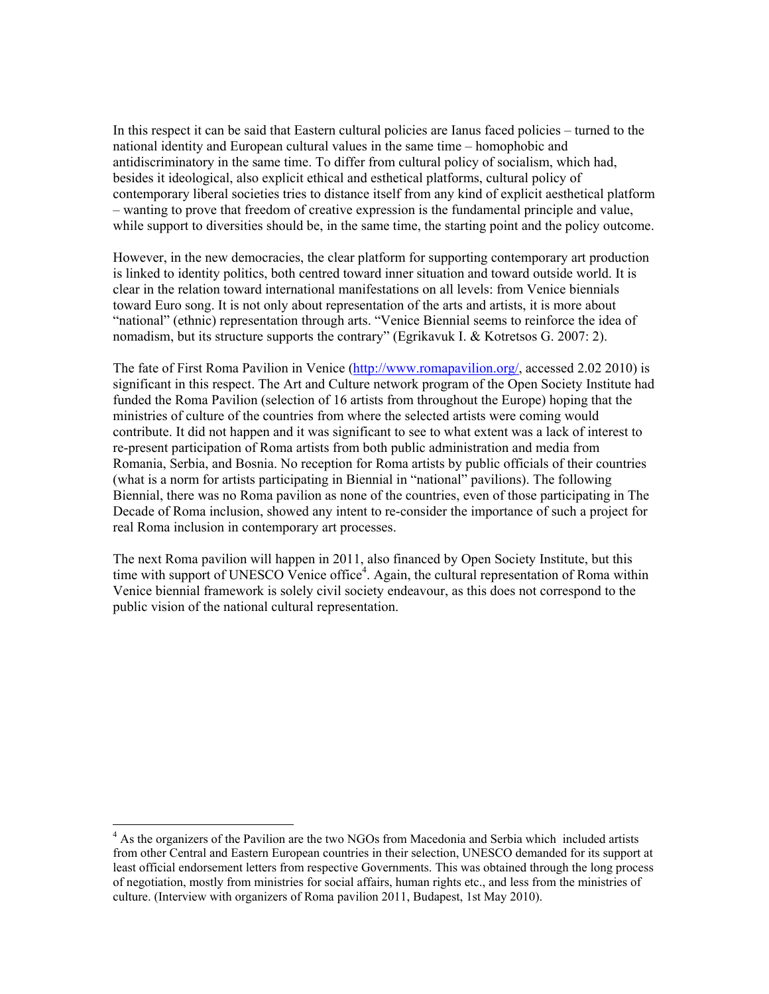In this respect it can be said that Eastern cultural policies are Ianus faced policies – turned to the national identity and European cultural values in the same time – homophobic and antidiscriminatory in the same time. To differ from cultural policy of socialism, which had, besides it ideological, also explicit ethical and esthetical platforms, cultural policy of contemporary liberal societies tries to distance itself from any kind of explicit aesthetical platform – wanting to prove that freedom of creative expression is the fundamental principle and value, while support to diversities should be, in the same time, the starting point and the policy outcome.

However, in the new democracies, the clear platform for supporting contemporary art production is linked to identity politics, both centred toward inner situation and toward outside world. It is clear in the relation toward international manifestations on all levels: from Venice biennials toward Euro song. It is not only about representation of the arts and artists, it is more about "national" (ethnic) representation through arts. "Venice Biennial seems to reinforce the idea of nomadism, but its structure supports the contrary" (Egrikavuk I. & Kotretsos G. 2007: 2).

The fate of First Roma Pavilion in Venice [\(http://www.romapavilion.org/](http://www.romapavilion.org/), accessed 2.02 2010) is significant in this respect. The Art and Culture network program of the Open Society Institute had funded the Roma Pavilion (selection of 16 artists from throughout the Europe) hoping that the ministries of culture of the countries from where the selected artists were coming would contribute. It did not happen and it was significant to see to what extent was a lack of interest to re-present participation of Roma artists from both public administration and media from Romania, Serbia, and Bosnia. No reception for Roma artists by public officials of their countries (what is a norm for artists participating in Biennial in "national" pavilions). The following Biennial, there was no Roma pavilion as none of the countries, even of those participating in The Decade of Roma inclusion, showed any intent to re-consider the importance of such a project for real Roma inclusion in contemporary art processes.

The next Roma pavilion will happen in 2011, also financed by Open Society Institute, but this time with support of UNESCO Venice office<sup>4</sup>[.](#page-2-0) Again, the cultural representation of Roma within Venice biennial framework is solely civil society endeavour, as this does not correspond to the public vision of the national cultural representation.

<span id="page-2-0"></span><sup>&</sup>lt;sup>4</sup> As the organizers of the Pavilion are the two NGOs from Macedonia and Serbia which included artists from other Central and Eastern European countries in their selection, UNESCO demanded for its support at least official endorsement letters from respective Governments. This was obtained through the long process of negotiation, mostly from ministries for social affairs, human rights etc., and less from the ministries of culture. (Interview with organizers of Roma pavilion 2011, Budapest, 1st May 2010).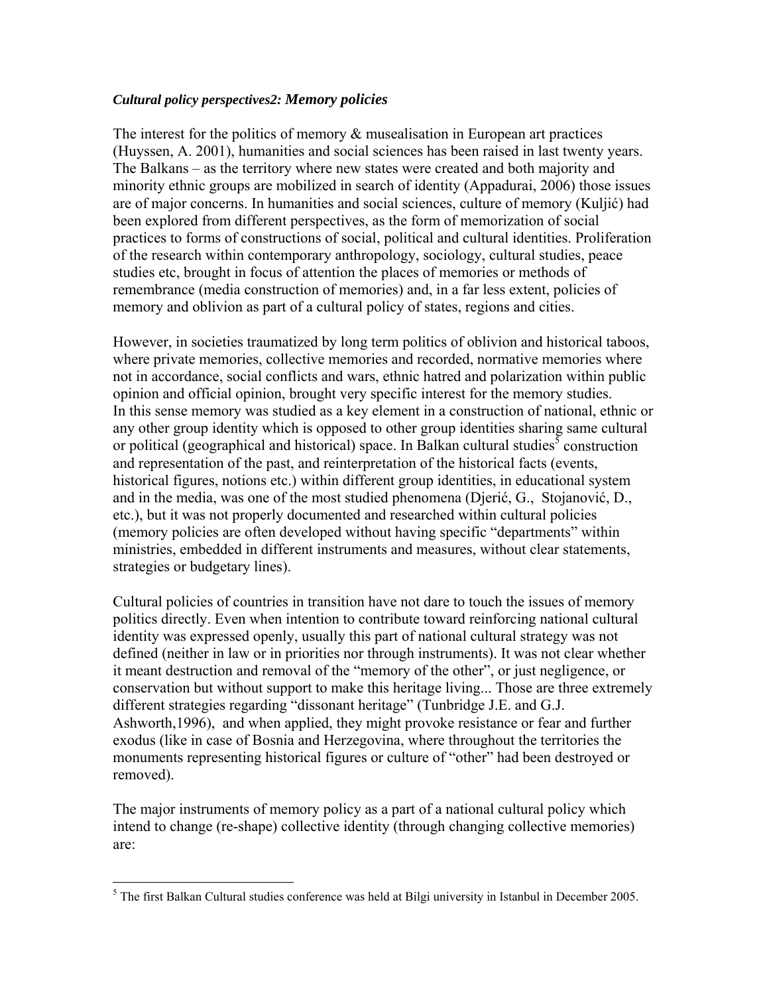## *Cultural policy perspectives2: Memory policies*

The interest for the politics of memory  $\&$  musealisation in European art practices (Huyssen, A. 2001), humanities and social sciences has been raised in last twenty years. The Balkans – as the territory where new states were created and both majority and minority ethnic groups are mobilized in search of identity (Appadurai, 2006) those issues are of major concerns. In humanities and social sciences, culture of memory (Kuljić) had been explored from different perspectives, as the form of memorization of social practices to forms of constructions of social, political and cultural identities. Proliferation of the research within contemporary anthropology, sociology, cultural studies, peace studies etc, brought in focus of attention the places of memories or methods of remembrance (media construction of memories) and, in a far less extent, policies of memory and oblivion as part of a cultural policy of states, regions and cities.

However, in societies traumatized by long term politics of oblivion and historical taboos, where private memories, collective memories and recorded, normative memories where not in accordance, social conflicts and wars, ethnic hatred and polarization within public opinion and official opinion, brought very specific interest for the memory studies. In this sense memory was studied as a key element in a construction of national, ethnic or any other group identity which is opposed to other group identities sharing same cultural or political (geographical and historical) space. In Balkan cultural studies<sup>[5](#page-3-0)</sup> construction and representation of the past, and reinterpretation of the historical facts (events, historical figures, notions etc.) within different group identities, in educational system and in the media, was one of the most studied phenomena (Djerić, G., Stojanović, D., etc.), but it was not properly documented and researched within cultural policies (memory policies are often developed without having specific "departments" within ministries, embedded in different instruments and measures, without clear statements, strategies or budgetary lines).

Cultural policies of countries in transition have not dare to touch the issues of memory politics directly. Even when intention to contribute toward reinforcing national cultural identity was expressed openly, usually this part of national cultural strategy was not defined (neither in law or in priorities nor through instruments). It was not clear whether it meant destruction and removal of the "memory of the other", or just negligence, or conservation but without support to make this heritage living... Those are three extremely different strategies regarding "dissonant heritage" (Tunbridge J.E. and G.J. Ashworth,1996), and when applied, they might provoke resistance or fear and further exodus (like in case of Bosnia and Herzegovina, where throughout the territories the monuments representing historical figures or culture of "other" had been destroyed or removed).

The major instruments of memory policy as a part of a national cultural policy which intend to change (re-shape) collective identity (through changing collective memories) are:

<span id="page-3-0"></span> $\overline{a}$  $<sup>5</sup>$  The first Balkan Cultural studies conference was held at Bilgi university in Istanbul in December 2005.</sup>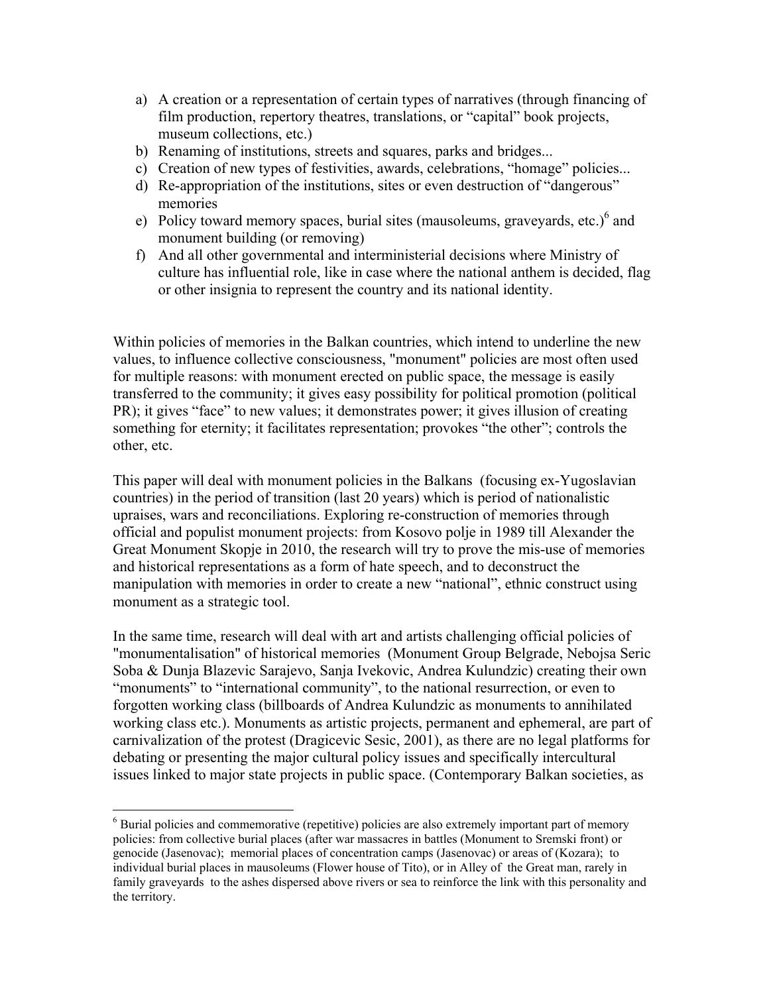- a) A creation or a representation of certain types of narratives (through financing of film production, repertory theatres, translations, or "capital" book projects, museum collections, etc.)
- b) Renaming of institutions, streets and squares, parks and bridges...
- c) Creation of new types of festivities, awards, celebrations, "homage" policies...
- d) Re-appropriation of the institutions, sites or even destruction of "dangerous" memories
- e) Policy toward memory spaces, burial sites (mausoleums, graveyards, etc.) $^6$  $^6$  and monument building (or removing)
- f) And all other governmental and interministerial decisions where Ministry of culture has influential role, like in case where the national anthem is decided, flag or other insignia to represent the country and its national identity.

Within policies of memories in the Balkan countries, which intend to underline the new values, to influence collective consciousness, "monument" policies are most often used for multiple reasons: with monument erected on public space, the message is easily transferred to the community; it gives easy possibility for political promotion (political PR); it gives "face" to new values; it demonstrates power; it gives illusion of creating something for eternity; it facilitates representation; provokes "the other"; controls the other, etc.

This paper will deal with monument policies in the Balkans (focusing ex-Yugoslavian countries) in the period of transition (last 20 years) which is period of nationalistic upraises, wars and reconciliations. Exploring re-construction of memories through official and populist monument projects: from Kosovo polje in 1989 till Alexander the Great Monument Skopje in 2010, the research will try to prove the mis-use of memories and historical representations as a form of hate speech, and to deconstruct the manipulation with memories in order to create a new "national", ethnic construct using monument as a strategic tool.

In the same time, research will deal with art and artists challenging official policies of "monumentalisation" of historical memories (Monument Group Belgrade, Nebojsa Seric Soba & Dunja Blazevic Sarajevo, Sanja Ivekovic, Andrea Kulundzic) creating their own "monuments" to "international community", to the national resurrection, or even to forgotten working class (billboards of Andrea Kulundzic as monuments to annihilated working class etc.). Monuments as artistic projects, permanent and ephemeral, are part of carnivalization of the protest (Dragicevic Sesic, 2001), as there are no legal platforms for debating or presenting the major cultural policy issues and specifically intercultural issues linked to major state projects in public space. (Contemporary Balkan societies, as

<span id="page-4-0"></span><sup>&</sup>lt;sup>6</sup> Burial policies and commemorative (repetitive) policies are also extremely important part of memory policies: from collective burial places (after war massacres in battles (Monument to Sremski front) or genocide (Jasenovac); memorial places of concentration camps (Jasenovac) or areas of (Kozara); to individual burial places in mausoleums (Flower house of Tito), or in Alley of the Great man, rarely in family graveyards to the ashes dispersed above rivers or sea to reinforce the link with this personality and the territory.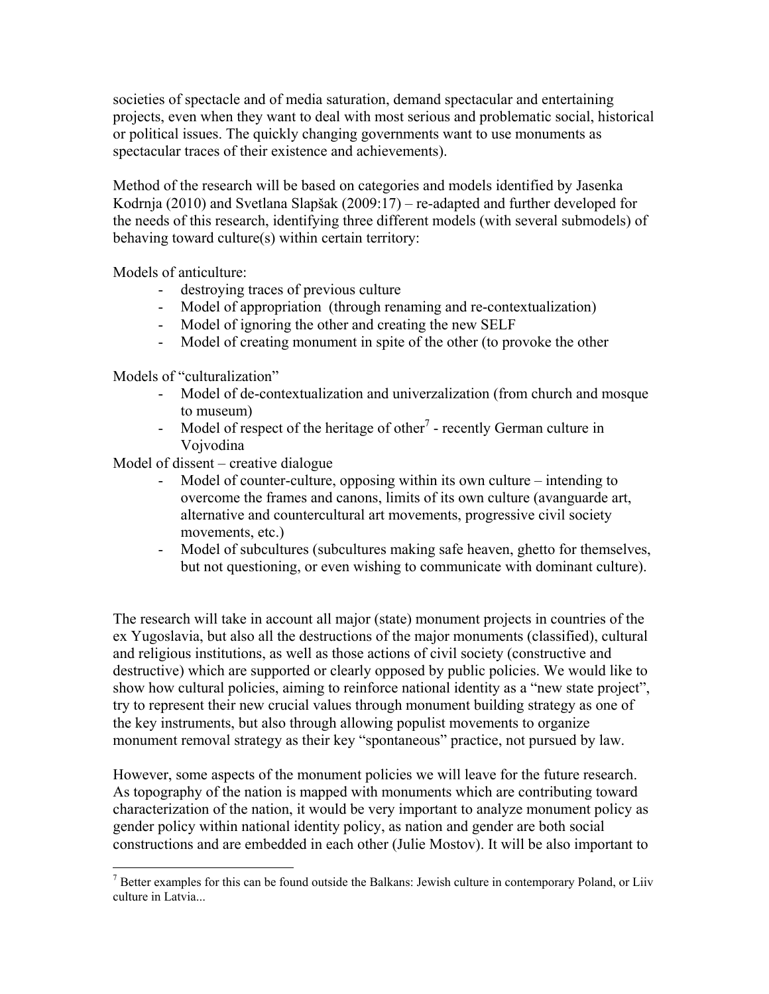societies of spectacle and of media saturation, demand spectacular and entertaining projects, even when they want to deal with most serious and problematic social, historical or political issues. The quickly changing governments want to use monuments as spectacular traces of their existence and achievements).

Method of the research will be based on categories and models identified by Jasenka Kodrnja (2010) and Svetlana Slapšak (2009:17) – re-adapted and further developed for the needs of this research, identifying three different models (with several submodels) of behaving toward culture(s) within certain territory:

Models of anticulture:

- destroying traces of previous culture
- Model of appropriation (through renaming and re-contextualization)
- Model of ignoring the other and creating the new SELF
- Model of creating monument in spite of the other (to provoke the other

Models of "culturalization"

 $\overline{a}$ 

- Model of de-contextualization and univerzalization (from church and mosque to museum)
- Model of respect of the heritage of other<sup>7</sup> recently German culture in Vojvodina

Model of dissent – creative dialogue

- Model of counter-culture, opposing within its own culture intending to overcome the frames and canons, limits of its own culture (avanguarde art, alternative and countercultural art movements, progressive civil society movements, etc.)
- Model of subcultures (subcultures making safe heaven, ghetto for themselves, but not questioning, or even wishing to communicate with dominant culture).

The research will take in account all major (state) monument projects in countries of the ex Yugoslavia, but also all the destructions of the major monuments (classified), cultural and religious institutions, as well as those actions of civil society (constructive and destructive) which are supported or clearly opposed by public policies. We would like to show how cultural policies, aiming to reinforce national identity as a "new state project", try to represent their new crucial values through monument building strategy as one of the key instruments, but also through allowing populist movements to organize monument removal strategy as their key "spontaneous" practice, not pursued by law.

However, some aspects of the monument policies we will leave for the future research. As topography of the nation is mapped with monuments which are contributing toward characterization of the nation, it would be very important to analyze monument policy as gender policy within national identity policy, as nation and gender are both social constructions and are embedded in each other (Julie Mostov). It will be also important to

<span id="page-5-0"></span> $<sup>7</sup>$  Better examples for this can be found outside the Balkans: Jewish culture in contemporary Poland, or Liiv</sup> culture in Latvia...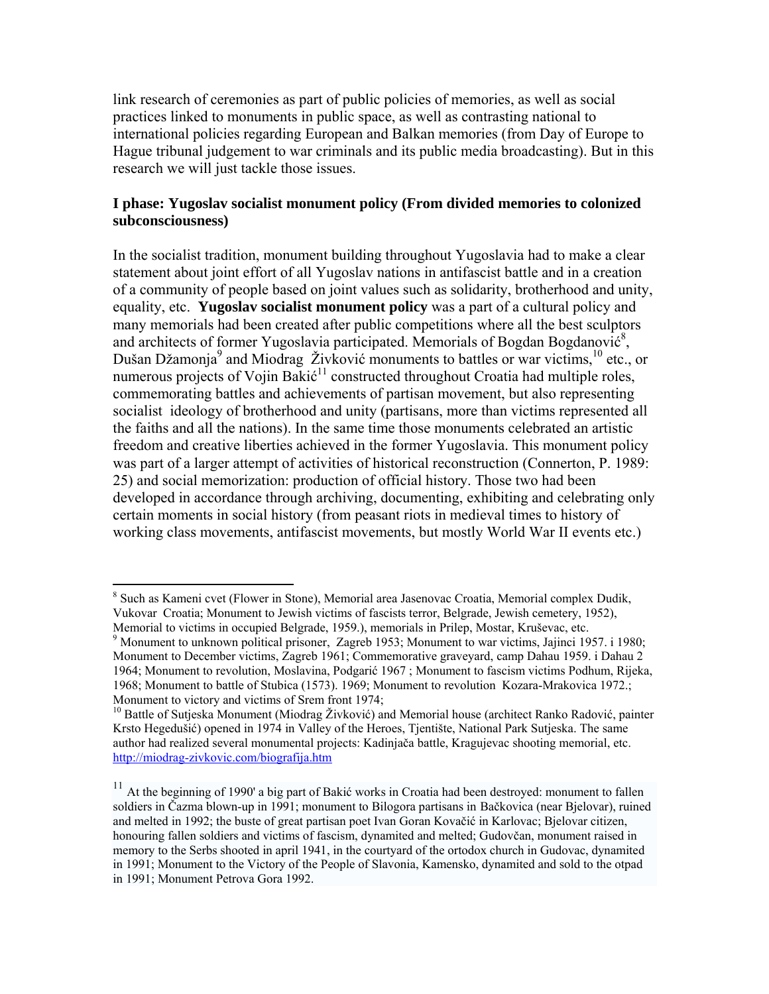link research of ceremonies as part of public policies of memories, as well as social practices linked to monuments in public space, as well as contrasting national to international policies regarding European and Balkan memories (from Day of Europe to Hague tribunal judgement to war criminals and its public media broadcasting). But in this research we will just tackle those issues.

# **I phase: Yugoslav socialist monument policy (From divided memories to colonized subconsciousness)**

In the socialist tradition, monument building throughout Yugoslavia had to make a clear statement about joint effort of all Yugoslav nations in antifascist battle and in a creation of a community of people based on joint values such as solidarity, brotherhood and unity, equality, etc. **Yugoslav socialist monument policy** was a part of a cultural policy and many memorials had been created after public competitions where all the best sculptors and architects of former Yugoslavia participated. Memorials of Bogdan Bogdanović<sup>8</sup>, Dušan Džamonja<sup>[9](#page-6-1)</sup> and Miodrag Živković monuments to battles or war victims,<sup>10</sup> etc., or numerous projects of Vojin Bakić<sup>11</sup> constructed throughout Croatia had multiple roles, commemorating battles and achievements of partisan movement, but also representing socialist ideology of brotherhood and unity (partisans, more than victims represented all the faiths and all the nations). In the same time those monuments celebrated an artistic freedom and creative liberties achieved in the former Yugoslavia. This monument policy was part of a larger attempt of activities of historical reconstruction (Connerton, P. 1989: 25) and social memorization: production of official history. Those two had been developed in accordance through archiving, documenting, exhibiting and celebrating only certain moments in social history (from peasant riots in medieval times to history of working class movements, antifascist movements, but mostly World War II events etc.)

<span id="page-6-0"></span><sup>1</sup> <sup>8</sup> Such as Kameni cvet (Flower in Stone), Memorial area Jasenovac Croatia, Memorial complex Dudik, Vukovar Croatia; Monument to Jewish victims of fascists terror, Belgrade, Jewish cemetery, 1952), Memorial to victims in occupied Belgrade, 1959.), memorials in Prilep, Mostar, Kruševac, etc. 9

<span id="page-6-1"></span><sup>&</sup>lt;sup>9</sup> Monument to unknown political prisoner, Zagreb 1953; Monument to war victims, Jajinci 1957. i 1980; Monument to December victims, Zagreb 1961; Commemorative graveyard, camp Dahau 1959. i Dahau 2 1964; Monument to revolution, Moslavina, Podgarić 1967 ; Monument to fascism victims Podhum, Rijeka, 1968; Monument to battle of Stubica (1573). 1969; Monument to revolution Kozara-Mrakovica 1972.; Monument to victory and victims of Srem front 1974;

<span id="page-6-2"></span> $10$  Battle of Sutjeska Monument (Miodrag Živković) and Memorial house (architect Ranko Radović, painter Krsto Hegedušić) opened in 1974 in Valley of the Heroes, Tjentište, National Park Sutjeska. The same author had realized several monumental projects: Kadinjača battle, Kragujevac shooting memorial, etc. <http://miodrag-zivkovic.com/biografija.htm>

<span id="page-6-3"></span><sup>&</sup>lt;sup>11</sup> At the beginning of 1990' a big part of Bakić works in Croatia had been destroyed: monument to fallen soldiers in Čazma blown-up in 1991; monument to Bilogora partisans in Bačkovica (near Bjelovar), ruined and melted in 1992; the buste of great partisan poet Ivan Goran Kovačić in Karlovac; Bjelovar citizen, honouring fallen soldiers and victims of fascism, dynamited and melted; Gudovčan, monument raised in memory to the Serbs shooted in april 1941, in the courtyard of the ortodox church in Gudovac, dynamited in 1991; Monument to the Victory of the People of Slavonia, Kamensko, dynamited and sold to the otpad in 1991; Monument Petrova Gora 1992.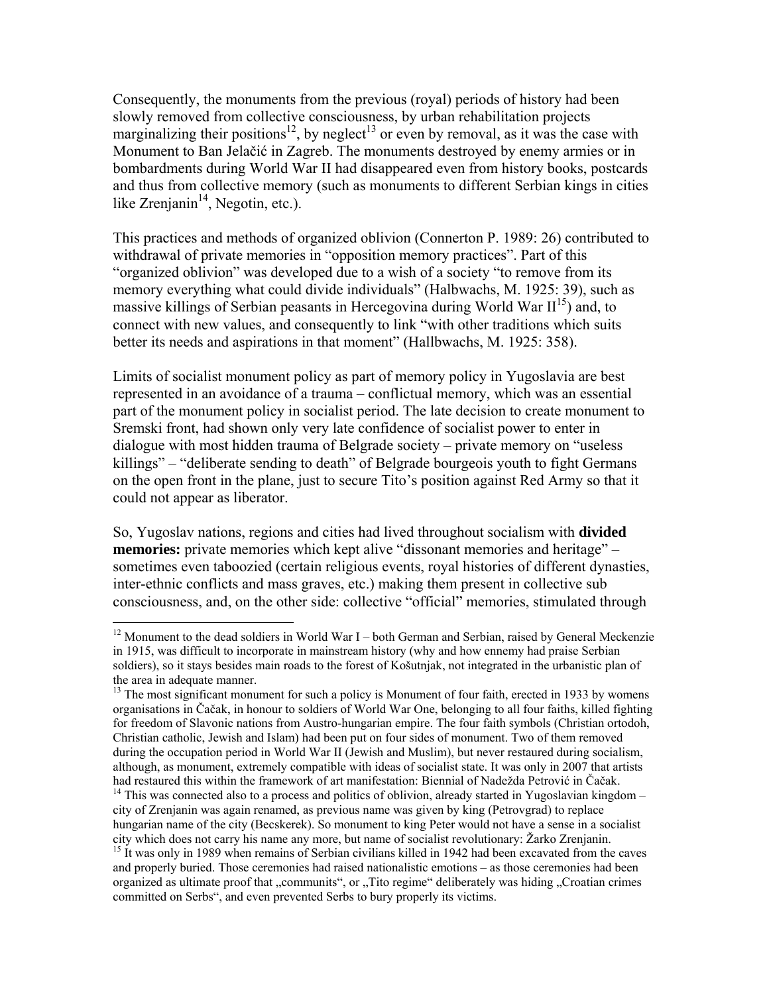Consequently, the monuments from the previous (royal) periods of history had been slowly removed from collective consciousness, by urban rehabilitation projects marginalizing their positions<sup>12</sup>, by neglect<sup>13</sup> or even by removal, as it was the case with Monument to Ban Jelačić in Zagreb. The monuments destroyed by enemy armies or in bombardments during World War II had disappeared even from history books, postcards and thus from collective memory (such as monuments to different Serbian kings in cities like Zrenjanin $14$ , Negotin, etc.).

This practices and methods of organized oblivion (Connerton P. 1989: 26) contributed to withdrawal of private memories in "opposition memory practices". Part of this "organized oblivion" was developed due to a wish of a society "to remove from its memory everything what could divide individuals" (Halbwachs, M. 1925: 39), such as massive killings of Serbian peasants in Hercegovina during World War  $II^{15}$ ) and, to connect with new values, and consequently to link "with other traditions which suits better its needs and aspirations in that moment" (Hallbwachs, M. 1925: 358).

Limits of socialist monument policy as part of memory policy in Yugoslavia are best represented in an avoidance of a trauma – conflictual memory, which was an essential part of the monument policy in socialist period. The late decision to create monument to Sremski front, had shown only very late confidence of socialist power to enter in dialogue with most hidden trauma of Belgrade society – private memory on "useless killings" – "deliberate sending to death" of Belgrade bourgeois youth to fight Germans on the open front in the plane, just to secure Tito's position against Red Army so that it could not appear as liberator.

So, Yugoslav nations, regions and cities had lived throughout socialism with **divided memories:** private memories which kept alive "dissonant memories and heritage" – sometimes even taboozied (certain religious events, royal histories of different dynasties, inter-ethnic conflicts and mass graves, etc.) making them present in collective sub consciousness, and, on the other side: collective "official" memories, stimulated through

1

<span id="page-7-0"></span><sup>&</sup>lt;sup>12</sup> Monument to the dead soldiers in World War I – both German and Serbian, raised by General Meckenzie in 1915, was difficult to incorporate in mainstream history (why and how ennemy had praise Serbian soldiers), so it stays besides main roads to the forest of Košutnjak, not integrated in the urbanistic plan of the area in adequate manner.

<span id="page-7-1"></span> $<sup>13</sup>$  The most significant monument for such a policy is Monument of four faith, erected in 1933 by womens</sup> organisations in Čačak, in honour to soldiers of World War One, belonging to all four faiths, killed fighting for freedom of Slavonic nations from Austro-hungarian empire. The four faith symbols (Christian ortodoh, Christian catholic, Jewish and Islam) had been put on four sides of monument. Two of them removed during the occupation period in World War II (Jewish and Muslim), but never restaured during socialism, although, as monument, extremely compatible with ideas of socialist state. It was only in 2007 that artists had restaured this within the framework of art manifestation: Biennial of Nadežda Petrović in Čačak.  $14$  This was connected also to a process and politics of oblivion, already started in Yugoslavian kingdom – city of Zrenjanin was again renamed, as previous name was given by king (Petrovgrad) to replace hungarian name of the city (Becskerek). So monument to king Peter would not have a sense in a socialist city which does not carry his name any more, but name of socialist revolutionary: Žarko Zrenjanin.

<span id="page-7-3"></span><span id="page-7-2"></span><sup>&</sup>lt;sup>15</sup> It was only in 1989 when remains of Serbian civilians killed in 1942 had been excavated from the caves and properly buried. Those ceremonies had raised nationalistic emotions – as those ceremonies had been organized as ultimate proof that "communits", or "Tito regime" deliberately was hiding "Croatian crimes committed on Serbs", and even prevented Serbs to bury properly its victims.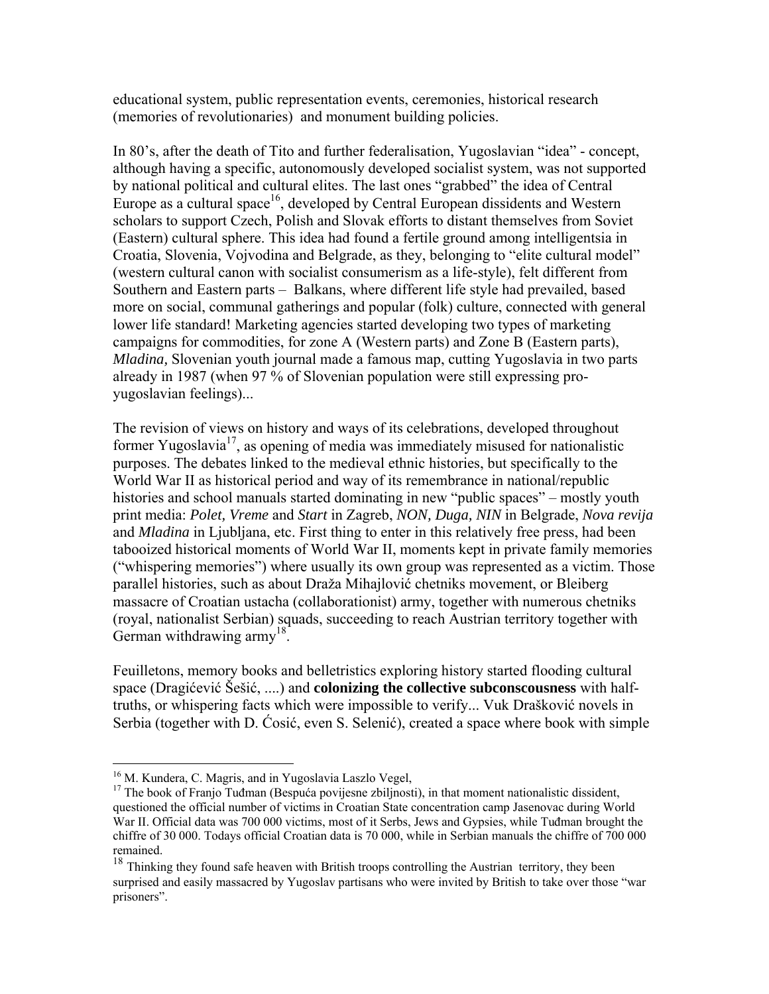educational system, public representation events, ceremonies, historical research (memories of revolutionaries) and monument building policies.

In 80's, after the death of Tito and further federalisation, Yugoslavian "idea" - concept, although having a specific, autonomously developed socialist system, was not supported by national political and cultural elites. The last ones "grabbed" the idea of Central Europe as a cultural space<sup>16</sup>, developed by Central European dissidents and Western scholars to support Czech, Polish and Slovak efforts to distant themselves from Soviet (Eastern) cultural sphere. This idea had found a fertile ground among intelligentsia in Croatia, Slovenia, Vojvodina and Belgrade, as they, belonging to "elite cultural model" (western cultural canon with socialist consumerism as a life-style), felt different from Southern and Eastern parts – Balkans, where different life style had prevailed, based more on social, communal gatherings and popular (folk) culture, connected with general lower life standard! Marketing agencies started developing two types of marketing campaigns for commodities, for zone A (Western parts) and Zone B (Eastern parts), *Mladina,* Slovenian youth journal made a famous map, cutting Yugoslavia in two parts already in 1987 (when 97 % of Slovenian population were still expressing proyugoslavian feelings)...

The revision of views on history and ways of its celebrations, developed throughout former Yugoslavia<sup>17</sup>, as opening of media was immediately misused for nationalistic purposes. The debates linked to the medieval ethnic histories, but specifically to the World War II as historical period and way of its remembrance in national/republic histories and school manuals started dominating in new "public spaces" – mostly youth print media: *Polet, Vreme* and *Start* in Zagreb, *NON, Duga, NIN* in Belgrade, *Nova revija* and *Mladina* in Ljubljana, etc. First thing to enter in this relatively free press, had been tabooized historical moments of World War II, moments kept in private family memories ("whispering memories") where usually its own group was represented as a victim. Those parallel histories, such as about Draža Mihajlović chetniks movement, or Bleiberg massacre of Croatian ustacha (collaborationist) army, together with numerous chetniks (royal, nationalist Serbian) squads, succeeding to reach Austrian territory together with German withdrawing army<sup>18</sup>.

Feuilletons, memory books and belletristics exploring history started flooding cultural space (Dragićević Šešić, ....) and **colonizing the collective subconscousness** with halftruths, or whispering facts which were impossible to verify... Vuk Drašković novels in Serbia (together with D. Ćosić, even S. Selenić), created a space where book with simple

<span id="page-8-1"></span><span id="page-8-0"></span>

<sup>&</sup>lt;sup>16</sup> M. Kundera, C. Magris, and in Yugoslavia Laszlo Vegel,  $17$  The book of Franjo Tuđman (Bespuća povijesne zbiljnosti), in that moment nationalistic dissident, questioned the official number of victims in Croatian State concentration camp Jasenovac during World War II. Official data was 700 000 victims, most of it Serbs, Jews and Gypsies, while Tuđman brought the chiffre of 30 000. Todays official Croatian data is 70 000, while in Serbian manuals the chiffre of 700 000 remained.

<span id="page-8-2"></span><sup>&</sup>lt;sup>18</sup> Thinking they found safe heaven with British troops controlling the Austrian territory, they been surprised and easily massacred by Yugoslav partisans who were invited by British to take over those "war prisoners".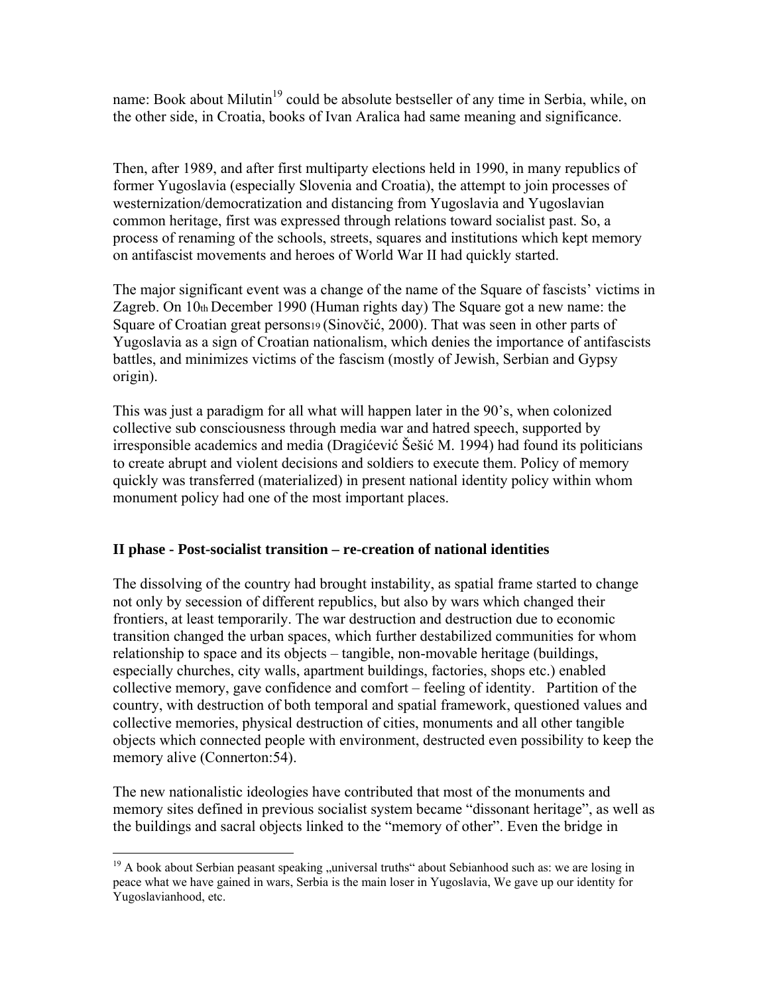name: Book about Milutin<sup>19</sup> could be absolute bestseller of any time in Serbia, while, on the other side, in Croatia, books of Ivan Aralica had same meaning and significance.

Then, after 1989, and after first multiparty elections held in 1990, in many republics of former Yugoslavia (especially Slovenia and Croatia), the attempt to join processes of westernization/democratization and distancing from Yugoslavia and Yugoslavian common heritage, first was expressed through relations toward socialist past. So, a process of renaming of the schools, streets, squares and institutions which kept memory on antifascist movements and heroes of World War II had quickly started.

The major significant event was a change of the name of the Square of fascists' victims in Zagreb. On 10th December 1990 (Human rights day) The Square got a new name: the Square of Croatian great persons19 (Sinovčić, 2000). That was seen in other parts of Yugoslavia as a sign of Croatian nationalism, which denies the importance of antifascists battles, and minimizes victims of the fascism (mostly of Jewish, Serbian and Gypsy origin).

This was just a paradigm for all what will happen later in the 90's, when colonized collective sub consciousness through media war and hatred speech, supported by irresponsible academics and media (Dragićević Šešić M. 1994) had found its politicians to create abrupt and violent decisions and soldiers to execute them. Policy of memory quickly was transferred (materialized) in present national identity policy within whom monument policy had one of the most important places.

# **II phase - Post-socialist transition – re-creation of national identities**

The dissolving of the country had brought instability, as spatial frame started to change not only by secession of different republics, but also by wars which changed their frontiers, at least temporarily. The war destruction and destruction due to economic transition changed the urban spaces, which further destabilized communities for whom relationship to space and its objects – tangible, non-movable heritage (buildings, especially churches, city walls, apartment buildings, factories, shops etc.) enabled collective memory, gave confidence and comfort – feeling of identity. Partition of the country, with destruction of both temporal and spatial framework, questioned values and collective memories, physical destruction of cities, monuments and all other tangible objects which connected people with environment, destructed even possibility to keep the memory alive (Connerton:54).

The new nationalistic ideologies have contributed that most of the monuments and memory sites defined in previous socialist system became "dissonant heritage", as well as the buildings and sacral objects linked to the "memory of other". Even the bridge in

<span id="page-9-0"></span><sup>1</sup>  $19$  A book about Serbian peasant speaking "universal truths" about Sebianhood such as: we are losing in peace what we have gained in wars, Serbia is the main loser in Yugoslavia, We gave up our identity for Yugoslavianhood, etc.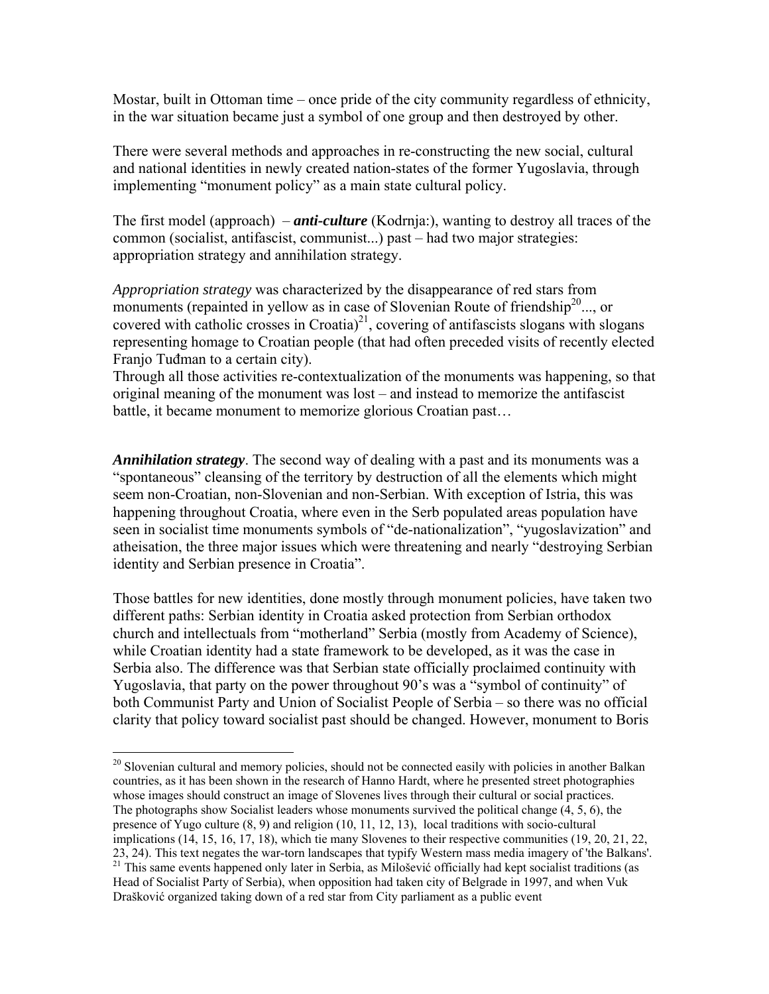Mostar, built in Ottoman time – once pride of the city community regardless of ethnicity, in the war situation became just a symbol of one group and then destroyed by other.

There were several methods and approaches in re-constructing the new social, cultural and national identities in newly created nation-states of the former Yugoslavia, through implementing "monument policy" as a main state cultural policy.

The first model (approach) – *anti-culture* (Kodrnja:), wanting to destroy all traces of the common (socialist, antifascist, communist...) past – had two major strategies: appropriation strategy and annihilation strategy.

*Appropriation strategy* was characterized by the disappearance of red stars from monuments (repainted in yellow as in case of Slovenian Route of friendship<sup>20</sup>..., or covered with catholic crosses in Croatia)<sup>21</sup>, covering of antifascists slogans with slogans representing homage to Croatian people (that had often preceded visits of recently elected Franjo Tuđman to a certain city).

Through all those activities re-contextualization of the monuments was happening, so that original meaning of the monument was lost – and instead to memorize the antifascist battle, it became monument to memorize glorious Croatian past…

*Annihilation strategy*. The second way of dealing with a past and its monuments was a "spontaneous" cleansing of the territory by destruction of all the elements which might seem non-Croatian, non-Slovenian and non-Serbian. With exception of Istria, this was happening throughout Croatia, where even in the Serb populated areas population have seen in socialist time monuments symbols of "de-nationalization", "yugoslavization" and atheisation, the three major issues which were threatening and nearly "destroying Serbian identity and Serbian presence in Croatia".

Those battles for new identities, done mostly through monument policies, have taken two different paths: Serbian identity in Croatia asked protection from Serbian orthodox church and intellectuals from "motherland" Serbia (mostly from Academy of Science), while Croatian identity had a state framework to be developed, as it was the case in Serbia also. The difference was that Serbian state officially proclaimed continuity with Yugoslavia, that party on the power throughout 90's was a "symbol of continuity" of both Communist Party and Union of Socialist People of Serbia – so there was no official clarity that policy toward socialist past should be changed. However, monument to Boris

<span id="page-10-0"></span> $\overline{a}$ <sup>20</sup> Slovenian cultural and memory policies, should not be connected easily with policies in another Balkan countries, as it has been shown in the research of Hanno Hardt, where he presented street photographies whose images should construct an image of Slovenes lives through their cultural or social practices. The photographs show Socialist leaders whose monuments survived the political change (4, 5, 6), the presence of Yugo culture (8, 9) and religion (10, 11, 12, 13), local traditions with socio-cultural implications (14, 15, 16, 17, 18), which tie many Slovenes to their respective communities (19, 20, 21, 22, 23, 24). This text negates the war-torn landscapes that typify Western mass media imagery of 'the Balkans'. <sup>21</sup> This same events happened only later in Serbia, as Milošević officially had kept socialist traditions (as

<span id="page-10-1"></span>Head of Socialist Party of Serbia), when opposition had taken city of Belgrade in 1997, and when Vuk Drašković organized taking down of a red star from City parliament as a public event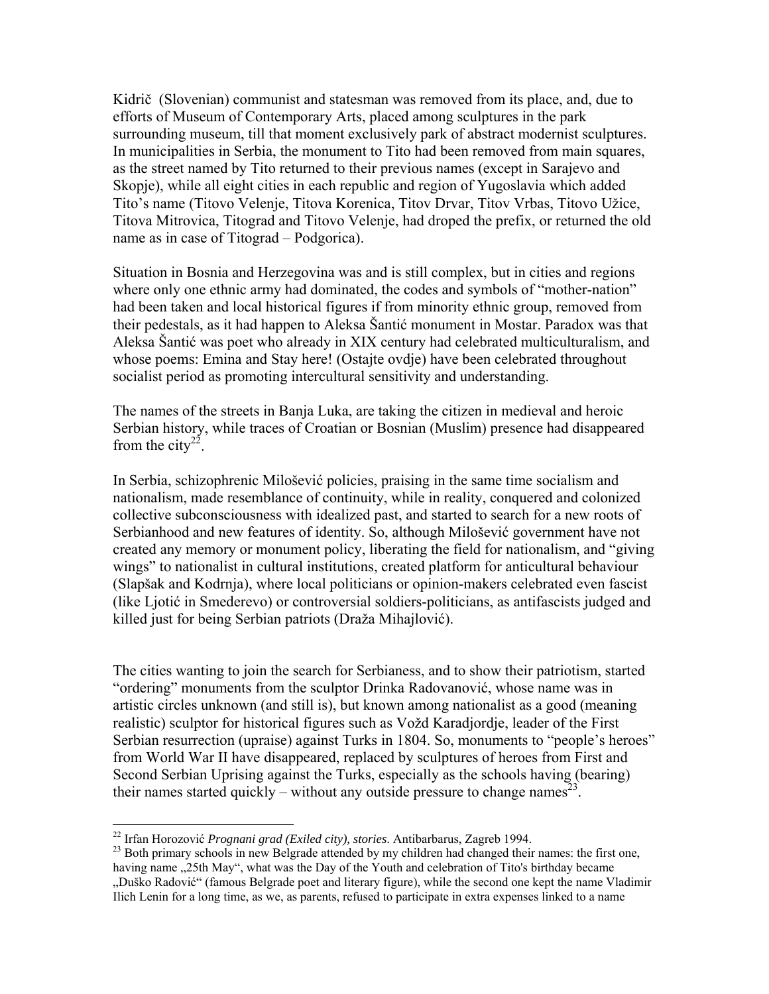Kidrič (Slovenian) communist and statesman was removed from its place, and, due to efforts of Museum of Contemporary Arts, placed among sculptures in the park surrounding museum, till that moment exclusively park of abstract modernist sculptures. In municipalities in Serbia, the monument to Tito had been removed from main squares, as the street named by Tito returned to their previous names (except in Sarajevo and Skopje), while all eight cities in each republic and region of Yugoslavia which added Tito's name (Titovo Velenje, Titova Korenica, Titov Drvar, Titov Vrbas, Titovo Užice, Titova Mitrovica, Titograd and Titovo Velenje, had droped the prefix, or returned the old name as in case of Titograd – Podgorica).

Situation in Bosnia and Herzegovina was and is still complex, but in cities and regions where only one ethnic army had dominated, the codes and symbols of "mother-nation" had been taken and local historical figures if from minority ethnic group, removed from their pedestals, as it had happen to Aleksa Šantić monument in Mostar. Paradox was that Aleksa Šantić was poet who already in XIX century had celebrated multiculturalism, and whose poems: Emina and Stay here! (Ostajte ovdje) have been celebrated throughout socialist period as promoting intercultural sensitivity and understanding.

The names of the streets in Banja Luka, are taking the citizen in medieval and heroic Serbian history, while traces of Croatian or Bosnian (Muslim) presence had disappeared from the city<sup>22</sup>.

In Serbia, schizophrenic Milošević policies, praising in the same time socialism and nationalism, made resemblance of continuity, while in reality, conquered and colonized collective subconsciousness with idealized past, and started to search for a new roots of Serbianhood and new features of identity. So, although Milošević government have not created any memory or monument policy, liberating the field for nationalism, and "giving wings" to nationalist in cultural institutions, created platform for anticultural behaviour (Slapšak and Kodrnja), where local politicians or opinion-makers celebrated even fascist (like Ljotić in Smederevo) or controversial soldiers-politicians, as antifascists judged and killed just for being Serbian patriots (Draža Mihajlović).

The cities wanting to join the search for Serbianess, and to show their patriotism, started "ordering" monuments from the sculptor Drinka Radovanović, whose name was in artistic circles unknown (and still is), but known among nationalist as a good (meaning realistic) sculptor for historical figures such as Vožd Karadjordje, leader of the First Serbian resurrection (upraise) against Turks in 1804. So, monuments to "people's heroes" from World War II have disappeared, replaced by sculptures of heroes from First and Second Serbian Uprising against the Turks, especially as the schools having (bearing) their names started quickly – without any outside pressure to change names<sup>23</sup>.

<span id="page-11-0"></span><sup>&</sup>lt;sup>22</sup> Irfan Horozović Prognani grad (Exiled city), stories. Antibarbarus, Zagreb 1994.

<span id="page-11-1"></span><sup>&</sup>lt;sup>23</sup> Both primary schools in new Belgrade attended by my children had changed their names: the first one, having name . 25th May", what was the Day of the Youth and celebration of Tito's birthday became "Duško Radović" (famous Belgrade poet and literary figure), while the second one kept the name Vladimir Ilich Lenin for a long time, as we, as parents, refused to participate in extra expenses linked to a name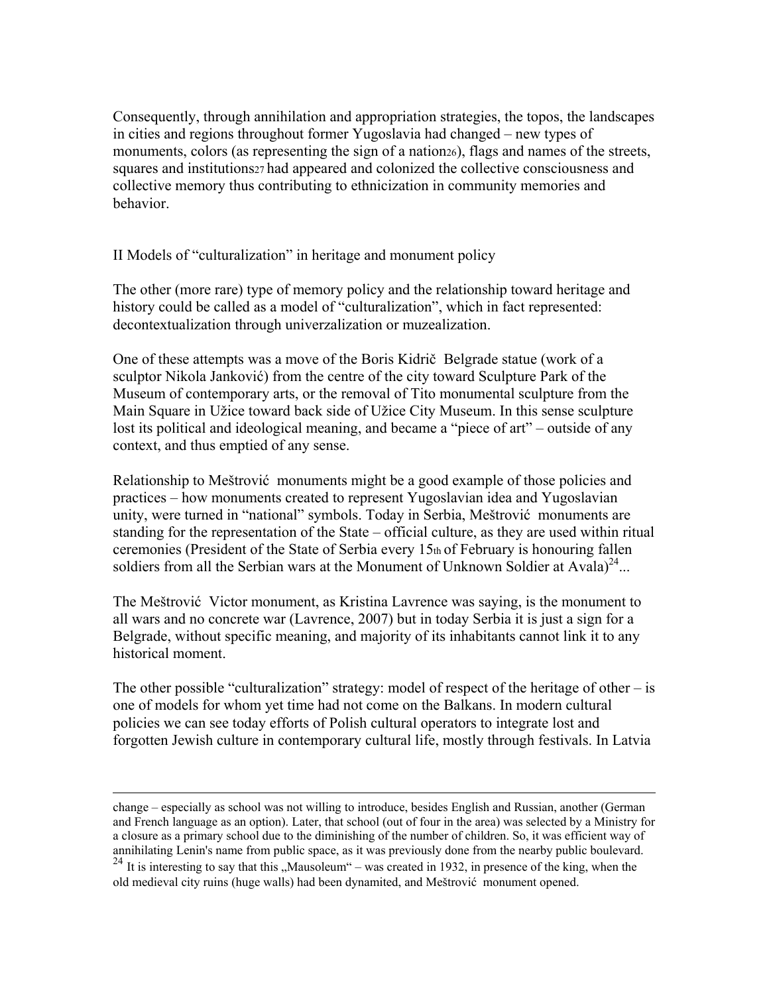Consequently, through annihilation and appropriation strategies, the topos, the landscapes in cities and regions throughout former Yugoslavia had changed – new types of monuments, colors (as representing the sign of a nation26), flags and names of the streets, squares and institutions<sub>27</sub> had appeared and colonized the collective consciousness and collective memory thus contributing to ethnicization in community memories and behavior.

II Models of "culturalization" in heritage and monument policy

The other (more rare) type of memory policy and the relationship toward heritage and history could be called as a model of "culturalization", which in fact represented: decontextualization through univerzalization or muzealization.

One of these attempts was a move of the Boris Kidrič Belgrade statue (work of a sculptor Nikola Janković) from the centre of the city toward Sculpture Park of the Museum of contemporary arts, or the removal of Tito monumental sculpture from the Main Square in Užice toward back side of Užice City Museum. In this sense sculpture lost its political and ideological meaning, and became a "piece of art" – outside of any context, and thus emptied of any sense.

Relationship to Meštrović monuments might be a good example of those policies and practices – how monuments created to represent Yugoslavian idea and Yugoslavian unity, were turned in "national" symbols. Today in Serbia, Meštrović monuments are standing for the representation of the State – official culture, as they are used within ritual ceremonies (President of the State of Serbia every 15th of February is honouring fallen soldiers from all the Serbian wars at the Monument of Unknown Soldier at Avala)<sup>24</sup>...

The Meštrović Victor monument, as Kristina Lavrence was saying, is the monument to all wars and no concrete war (Lavrence, 2007) but in today Serbia it is just a sign for a Belgrade, without specific meaning, and majority of its inhabitants cannot link it to any historical moment.

The other possible "culturalization" strategy: model of respect of the heritage of other  $-$  is one of models for whom yet time had not come on the Balkans. In modern cultural policies we can see today efforts of Polish cultural operators to integrate lost and forgotten Jewish culture in contemporary cultural life, mostly through festivals. In Latvia

change – especially as school was not willing to introduce, besides English and Russian, another (German and French language as an option). Later, that school (out of four in the area) was selected by a Ministry for a closure as a primary school due to the diminishing of the number of children. So, it was efficient way of annihilating Lenin's name from public space, as it was previously done from the nearby public boulevard.

<span id="page-12-0"></span> $24$  It is interesting to say that this "Mausoleum" – was created in 1932, in presence of the king, when the old medieval city ruins (huge walls) had been dynamited, and Meštrović monument opened.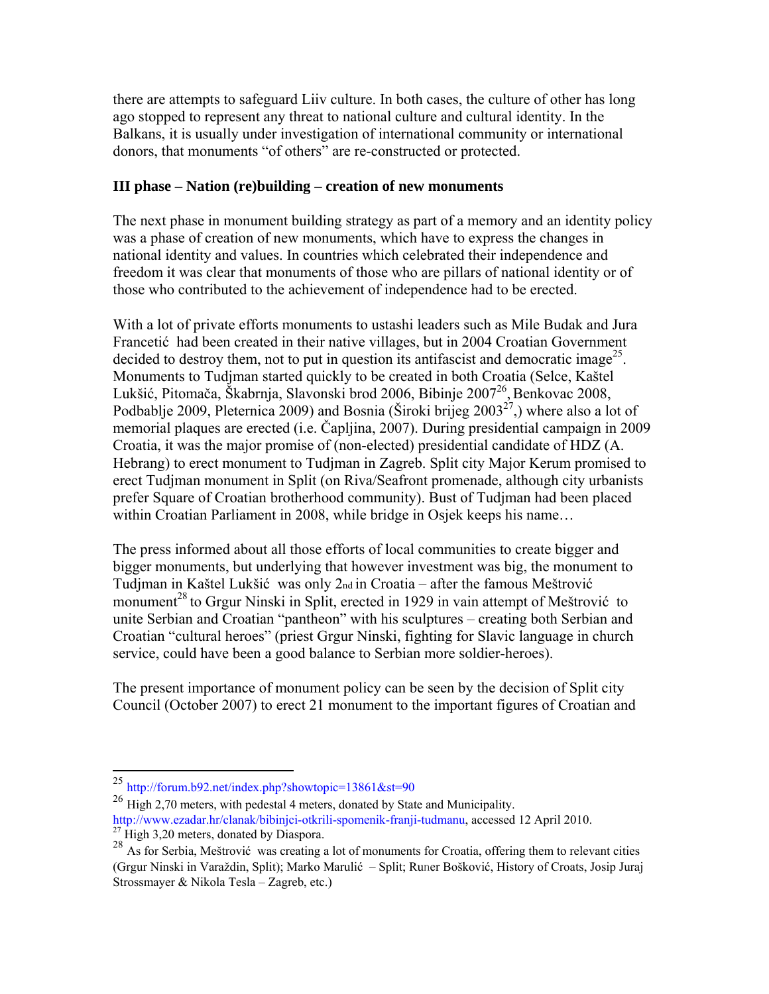there are attempts to safeguard Liiv culture. In both cases, the culture of other has long ago stopped to represent any threat to national culture and cultural identity. In the Balkans, it is usually under investigation of international community or international donors, that monuments "of others" are re-constructed or protected.

## **III phase – Nation (re)building – creation of new monuments**

The next phase in monument building strategy as part of a memory and an identity policy was a phase of creation of new monuments, which have to express the changes in national identity and values. In countries which celebrated their independence and freedom it was clear that monuments of those who are pillars of national identity or of those who contributed to the achievement of independence had to be erected.

With a lot of private efforts monuments to ustashi leaders such as Mile Budak and Jura Francetić had been created in their native villages, but in 2004 Croatian Government decided to destroy them, not to put in question its antifascist and democratic image<sup>25</sup>. Monuments to Tudjman started quickly to be created in both Croatia (Selce, Kaštel Lukšić, Pitomača, Škabrnja, Slavonski brod 2006, Bibinje 2007<sup>26</sup>, Benkovac 2008, Podbablje 2009, Pleternica 2009) and Bosnia (Široki brijeg  $2003^{27}$ ,) where also a lot of memorial plaques are erected (i.e. Čapljina, 2007). During presidential campaign in 2009 Croatia, it was the major promise of (non-elected) presidential candidate of HDZ (A. Hebrang) to erect monument to Tudjman in Zagreb. Split city Major Kerum promised to erect Tudjman monument in Split (on Riva/Seafront promenade, although city urbanists prefer Square of Croatian brotherhood community). Bust of Tudjman had been placed within Croatian Parliament in 2008, while bridge in Osjek keeps his name...

The press informed about all those efforts of local communities to create bigger and bigger monuments, but underlying that however investment was big, the monument to Tudjman in Kaštel Lukšić was only 2nd in Croatia – after the famous Meštrović monument<sup>[28](#page-13-3)</sup> to Grgur Ninski in Split, erected in 1929 in vain attempt of Meštrović to unite Serbian and Croatian "pantheon" with his sculptures – creating both Serbian and Croatian "cultural heroes" (priest Grgur Ninski, fighting for Slavic language in church service, could have been a good balance to Serbian more soldier-heroes).

The present importance of monument policy can be seen by the decision of Split city Council (October 2007) to erect 21 monument to the important figures of Croatian and

<u>.</u>

<span id="page-13-0"></span> $^{25}$  http://forum.b92.net/index.php?showtopic=13861&st=90

<span id="page-13-1"></span><sup>&</sup>lt;sup>26</sup> High 2,70 meters, with pedestal 4 meters, donated by State and Municipality. http://www.ezadar.hr/clanak/bibinjci-otkrili-spomenik-franji-tudmanu, accessed 12 April 2010.<br><sup>27</sup> High 3,20 meters, donated by Diaspora.

<span id="page-13-2"></span>

<span id="page-13-3"></span><sup>&</sup>lt;sup>28</sup> As for Serbia, Meštrović was creating a lot of monuments for Croatia, offering them to relevant cities (Grgur Ninski in Varaždin, Split); Marko Marulić – Split; Runer Bošković, History of Croats, Josip Juraj Strossmayer & Nikola Tesla – Zagreb, etc.)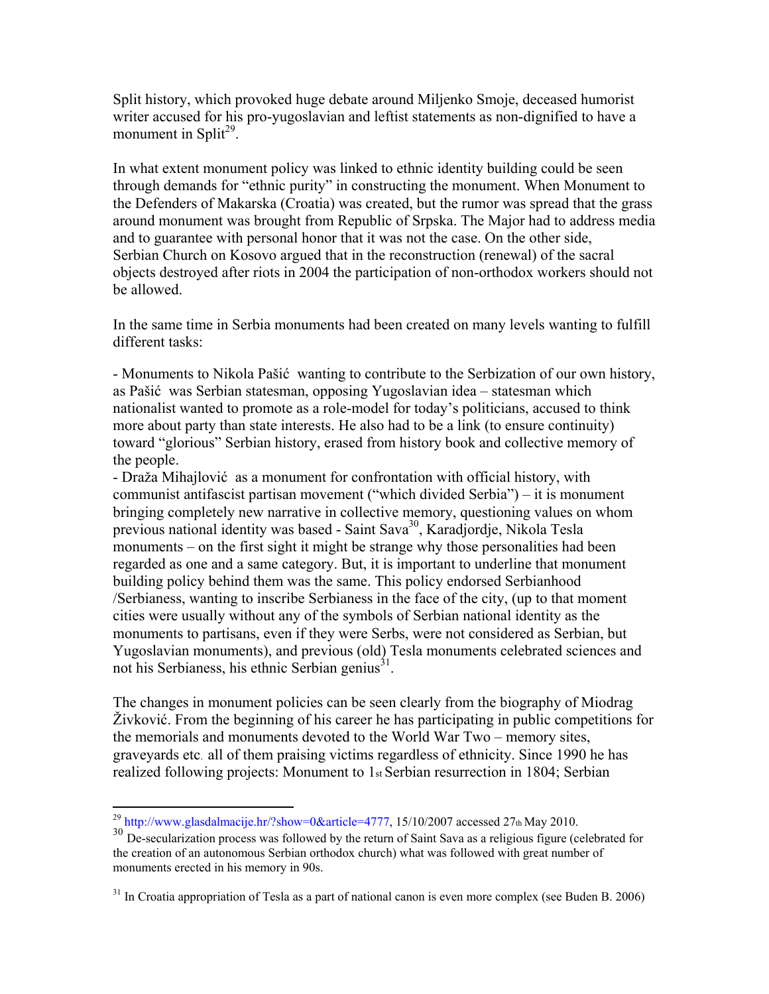Split history, which provoked huge debate around Miljenko Smoje, deceased humorist writer accused for his pro-yugoslavian and leftist statements as non-dignified to have a monument in Split<sup>29</sup>.

In what extent monument policy was linked to ethnic identity building could be seen through demands for "ethnic purity" in constructing the monument. When Monument to the Defenders of Makarska (Croatia) was created, but the rumor was spread that the grass around monument was brought from Republic of Srpska. The Major had to address media and to guarantee with personal honor that it was not the case. On the other side, Serbian Church on Kosovo argued that in the reconstruction (renewal) of the sacral objects destroyed after riots in 2004 the participation of non-orthodox workers should not be allowed.

In the same time in Serbia monuments had been created on many levels wanting to fulfill different tasks:

- Monuments to Nikola Pašić wanting to contribute to the Serbization of our own history, as Pašić was Serbian statesman, opposing Yugoslavian idea – statesman which nationalist wanted to promote as a role-model for today's politicians, accused to think more about party than state interests. He also had to be a link (to ensure continuity) toward "glorious" Serbian history, erased from history book and collective memory of the people.

- Draža Mihajlović as a monument for confrontation with official history, with communist antifascist partisan movement ("which divided Serbia") – it is monument bringing completely new narrative in collective memory, questioning values on whom previous national identity was based - Saint Sava<sup>30</sup>, Karadjordje, Nikola Tesla monuments – on the first sight it might be strange why those personalities had been regarded as one and a same category. But, it is important to underline that monument building policy behind them was the same. This policy endorsed Serbianhood /Serbianess, wanting to inscribe Serbianess in the face of the city, (up to that moment cities were usually without any of the symbols of Serbian national identity as the monuments to partisans, even if they were Serbs, were not considered as Serbian, but Yugoslavian monuments), and previous (old) Tesla monuments celebrated sciences and not his Serbianess, his ethnic Serbian genius $^{31}$ .

The changes in monument policies can be seen clearly from the biography of Miodrag Živković. From the beginning of his career he has participating in public competitions for the memorials and monuments devoted to the World War Two – memory sites, graveyards etc. all of them praising victims regardless of ethnicity. Since 1990 he has realized following projects: Monument to 1st Serbian resurrection in 1804; Serbian

<span id="page-14-0"></span><sup>&</sup>lt;sup>29</sup> http://www.glasdalmacije.hr/?show=0&article=4777, 15/10/2007 accessed 27th May 2010.

<span id="page-14-1"></span><sup>&</sup>lt;sup>30</sup> De-secularization process was followed by the return of Saint Sava as a religious figure (celebrated for the creation of an autonomous Serbian orthodox church) what was followed with great number of monuments erected in his memory in 90s.

<span id="page-14-2"></span> $31$  In Croatia appropriation of Tesla as a part of national canon is even more complex (see Buden B. 2006)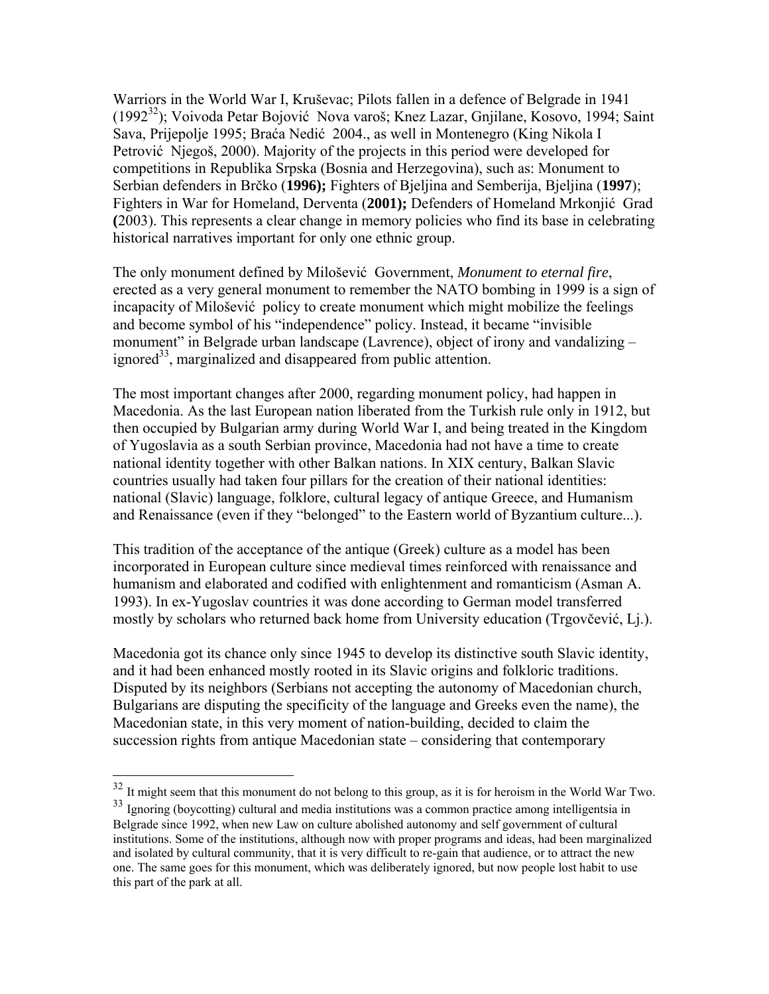Warriors in the World War I, Kruševac; Pilots fallen in a defence of Belgrade in 1941 (1992<sup>32</sup>); Voivoda Petar Bojović Nova varoš; Knez Lazar, Gnjilane, Kosovo, 1994; Saint Sava, Prijepolje 1995; Braća Nedić 2004., as well in Montenegro (King Nikola I Petrović Njegoš, 2000). Majority of the projects in this period were developed for competitions in Republika Srpska (Bosnia and Herzegovina), such as: Monument to Serbian defenders in Brčko (**1996);** Fighters of Bjeljina and Semberija, Bjeljina (**1997**); Fighters in War for Homeland, Derventa (**2001);** Defenders of Homeland Mrkonjić Grad **(**2003). This represents a clear change in memory policies who find its base in celebrating historical narratives important for only one ethnic group.

The only monument defined by Milošević Government, *Monument to eternal fire*, erected as a very general monument to remember the NATO bombing in 1999 is a sign of incapacity of Milošević policy to create monument which might mobilize the feelings and become symbol of his "independence" policy. Instead, it became "invisible monument" in Belgrade urban landscape (Lavrence), object of irony and vandalizing – ignored<sup>33</sup>, marginalized and disappeared from public attention.

The most important changes after 2000, regarding monument policy, had happen in Macedonia. As the last European nation liberated from the Turkish rule only in 1912, but then occupied by Bulgarian army during World War I, and being treated in the Kingdom of Yugoslavia as a south Serbian province, Macedonia had not have a time to create national identity together with other Balkan nations. In XIX century, Balkan Slavic countries usually had taken four pillars for the creation of their national identities: national (Slavic) language, folklore, cultural legacy of antique Greece, and Humanism and Renaissance (even if they "belonged" to the Eastern world of Byzantium culture...).

This tradition of the acceptance of the antique (Greek) culture as a model has been incorporated in European culture since medieval times reinforced with renaissance and humanism and elaborated and codified with enlightenment and romanticism (Asman A. 1993). In ex-Yugoslav countries it was done according to German model transferred mostly by scholars who returned back home from University education (Trgovčević, Lj.).

Macedonia got its chance only since 1945 to develop its distinctive south Slavic identity, and it had been enhanced mostly rooted in its Slavic origins and folkloric traditions. Disputed by its neighbors (Serbians not accepting the autonomy of Macedonian church, Bulgarians are disputing the specificity of the language and Greeks even the name), the Macedonian state, in this very moment of nation-building, decided to claim the succession rights from antique Macedonian state – considering that contemporary

<span id="page-15-0"></span> $32$  It might seem that this monument do not belong to this group, as it is for heroism in the World War Two.

<span id="page-15-1"></span><sup>33</sup> Ignoring (boycotting) cultural and media institutions was a common practice among intelligentsia in Belgrade since 1992, when new Law on culture abolished autonomy and self government of cultural institutions. Some of the institutions, although now with proper programs and ideas, had been marginalized and isolated by cultural community, that it is very difficult to re-gain that audience, or to attract the new one. The same goes for this monument, which was deliberately ignored, but now people lost habit to use this part of the park at all.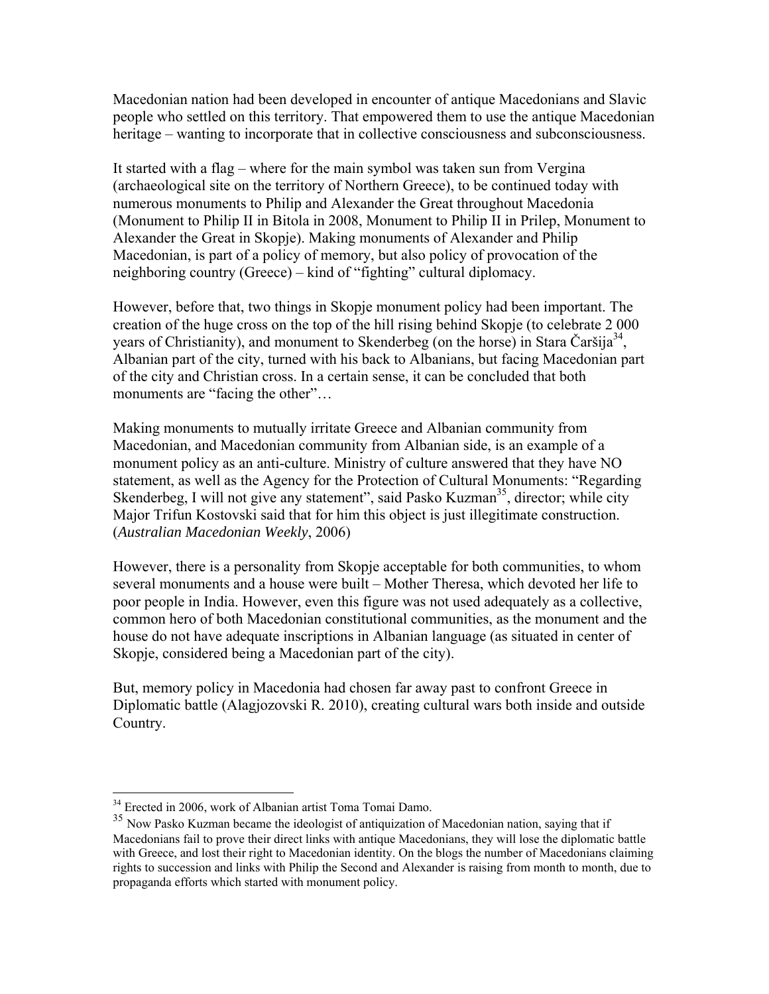Macedonian nation had been developed in encounter of antique Macedonians and Slavic people who settled on this territory. That empowered them to use the antique Macedonian heritage – wanting to incorporate that in collective consciousness and subconsciousness.

It started with a flag – where for the main symbol was taken sun from Vergina (archaeological site on the territory of Northern Greece), to be continued today with numerous monuments to Philip and Alexander the Great throughout Macedonia (Monument to Philip II in Bitola in 2008, Monument to Philip II in Prilep, Monument to Alexander the Great in Skopje). Making monuments of Alexander and Philip Macedonian, is part of a policy of memory, but also policy of provocation of the neighboring country (Greece) – kind of "fighting" cultural diplomacy.

However, before that, two things in Skopje monument policy had been important. The creation of the huge cross on the top of the hill rising behind Skopje (to celebrate 2 000 years of Christianity), and monument to Skenderbeg (on the horse) in Stara Čaršija<sup>34</sup>, Albanian part of the city, turned with his back to Albanians, but facing Macedonian part of the city and Christian cross. In a certain sense, it can be concluded that both monuments are "facing the other"...

Making monuments to mutually irritate Greece and Albanian community from Macedonian, and Macedonian community from Albanian side, is an example of a monument policy as an anti-culture. Ministry of culture answered that they have NO statement, as well as the Agency for the Protection of Cultural Monuments: "Regarding Skenderbeg, I will not give any statement", said Pasko Kuzman<sup>35</sup>, director; while city Major Trifun Kostovski said that for him this object is just illegitimate construction. (*Australian Macedonian Weekly*, 2006)

However, there is a personality from Skopje acceptable for both communities, to whom several monuments and a house were built – Mother Theresa, which devoted her life to poor people in India. However, even this figure was not used adequately as a collective, common hero of both Macedonian constitutional communities, as the monument and the house do not have adequate inscriptions in Albanian language (as situated in center of Skopje, considered being a Macedonian part of the city).

But, memory policy in Macedonia had chosen far away past to confront Greece in Diplomatic battle (Alagjozovski R. 2010), creating cultural wars both inside and outside Country.

<span id="page-16-0"></span><sup>&</sup>lt;sup>34</sup> Erected in 2006, work of Albanian artist Toma Tomai Damo.

<span id="page-16-1"></span><sup>&</sup>lt;sup>35</sup> Now Pasko Kuzman became the ideologist of antiquization of Macedonian nation, saying that if Macedonians fail to prove their direct links with antique Macedonians, they will lose the diplomatic battle with Greece, and lost their right to Macedonian identity. On the blogs the number of Macedonians claiming rights to succession and links with Philip the Second and Alexander is raising from month to month, due to propaganda efforts which started with monument policy.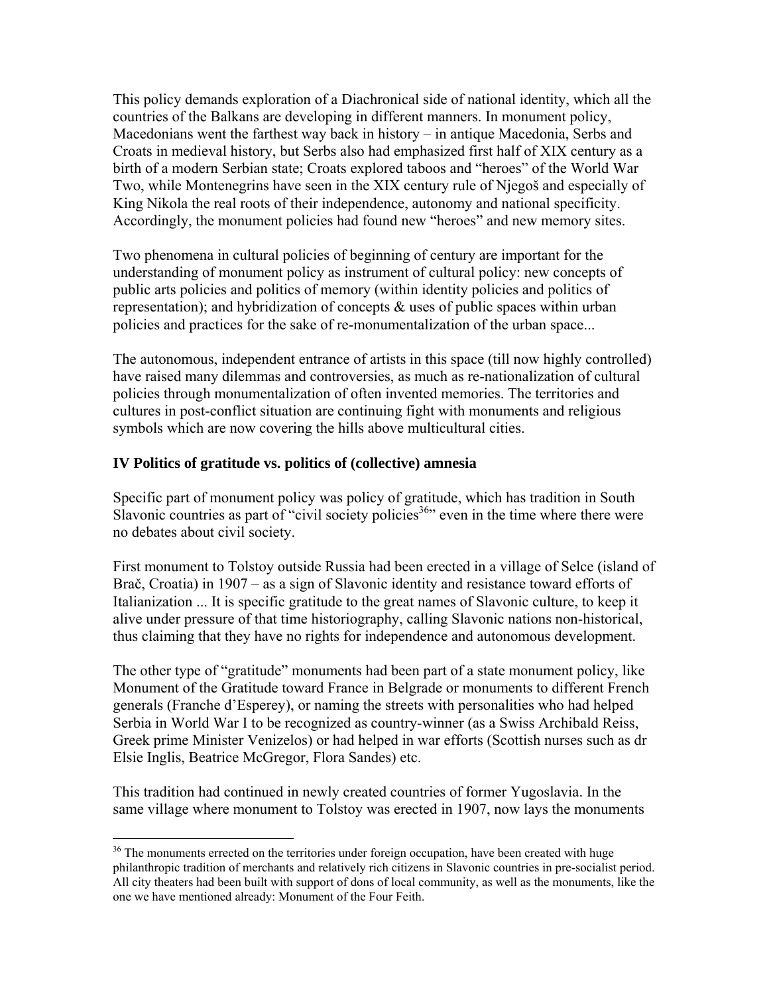This policy demands exploration of a Diachronical side of national identity, which all the countries of the Balkans are developing in different manners. In monument policy, Macedonians went the farthest way back in history – in antique Macedonia, Serbs and Croats in medieval history, but Serbs also had emphasized first half of XIX century as a birth of a modern Serbian state; Croats explored taboos and "heroes" of the World War Two, while Montenegrins have seen in the XIX century rule of Njegoš and especially of King Nikola the real roots of their independence, autonomy and national specificity. Accordingly, the monument policies had found new "heroes" and new memory sites.

Two phenomena in cultural policies of beginning of century are important for the understanding of monument policy as instrument of cultural policy: new concepts of public arts policies and politics of memory (within identity policies and politics of representation); and hybridization of concepts  $\&$  uses of public spaces within urban policies and practices for the sake of re-monumentalization of the urban space...

The autonomous, independent entrance of artists in this space (till now highly controlled) have raised many dilemmas and controversies, as much as re-nationalization of cultural policies through monumentalization of often invented memories. The territories and cultures in post-conflict situation are continuing fight with monuments and religious symbols which are now covering the hills above multicultural cities.

## **IV Politics of gratitude vs. politics of (collective) amnesia**

 $\overline{a}$ 

Specific part of monument policy was policy of gratitude, which has tradition in South Slavonic countries as part of "civil society policies<sup>36</sup>" even in the time where there were no debates about civil society.

First monument to Tolstoy outside Russia had been erected in a village of Selce (island of Brač, Croatia) in 1907 – as a sign of Slavonic identity and resistance toward efforts of Italianization ... It is specific gratitude to the great names of Slavonic culture, to keep it alive under pressure of that time historiography, calling Slavonic nations non-historical, thus claiming that they have no rights for independence and autonomous development.

The other type of "gratitude" monuments had been part of a state monument policy, like Monument of the Gratitude toward France in Belgrade or monuments to different French generals (Franche d'Esperey), or naming the streets with personalities who had helped Serbia in World War I to be recognized as country-winner (as a Swiss Archibald Reiss, Greek prime Minister Venizelos) or had helped in war efforts (Scottish nurses such as dr Elsie Inglis, Beatrice McGregor, Flora Sandes) etc.

This tradition had continued in newly created countries of former Yugoslavia. In the same village where monument to Tolstoy was erected in 1907, now lays the monuments

<span id="page-17-0"></span> $36$  The monuments errected on the territories under foreign occupation, have been created with huge philanthropic tradition of merchants and relatively rich citizens in Slavonic countries in pre-socialist period. All city theaters had been built with support of dons of local community, as well as the monuments, like the one we have mentioned already: Monument of the Four Feith.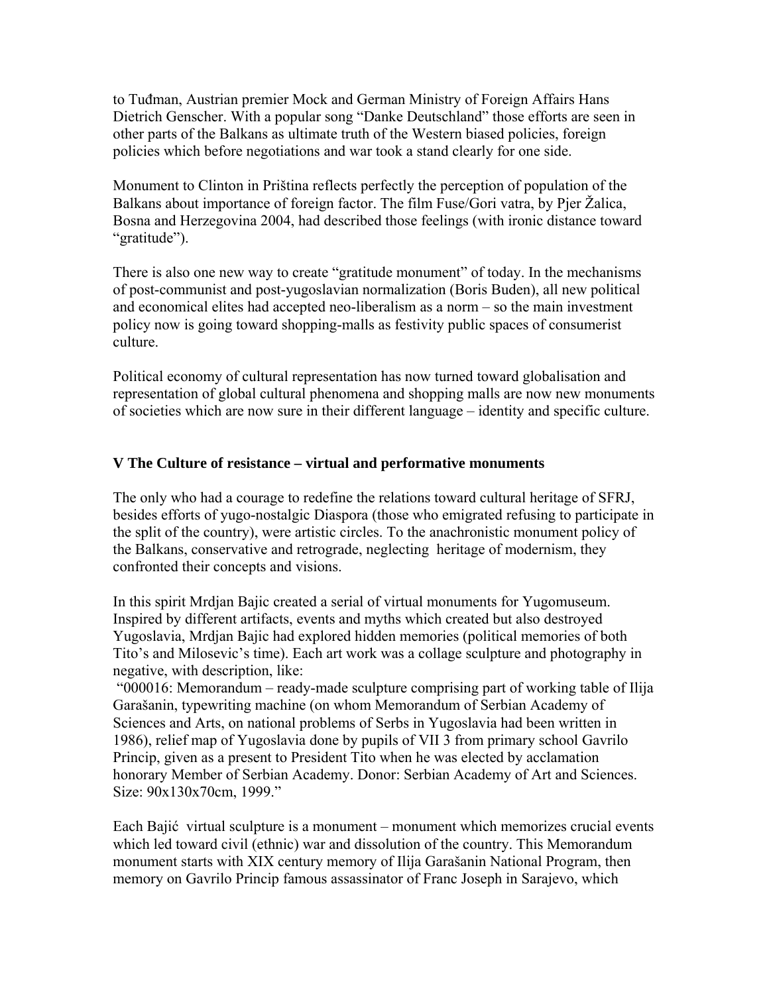to Tuđman, Austrian premier Mock and German Ministry of Foreign Affairs Hans Dietrich Genscher. With a popular song "Danke Deutschland" those efforts are seen in other parts of the Balkans as ultimate truth of the Western biased policies, foreign policies which before negotiations and war took a stand clearly for one side.

Monument to Clinton in Priština reflects perfectly the perception of population of the Balkans about importance of foreign factor. The film Fuse/Gori vatra, by Pjer Žalica, Bosna and Herzegovina 2004, had described those feelings (with ironic distance toward "gratitude").

There is also one new way to create "gratitude monument" of today. In the mechanisms of post-communist and post-yugoslavian normalization (Boris Buden), all new political and economical elites had accepted neo-liberalism as a norm – so the main investment policy now is going toward shopping-malls as festivity public spaces of consumerist culture.

Political economy of cultural representation has now turned toward globalisation and representation of global cultural phenomena and shopping malls are now new monuments of societies which are now sure in their different language – identity and specific culture.

# **V The Culture of resistance – virtual and performative monuments**

The only who had a courage to redefine the relations toward cultural heritage of SFRJ, besides efforts of yugo-nostalgic Diaspora (those who emigrated refusing to participate in the split of the country), were artistic circles. To the anachronistic monument policy of the Balkans, conservative and retrograde, neglecting heritage of modernism, they confronted their concepts and visions.

In this spirit Mrdjan Bajic created a serial of virtual monuments for Yugomuseum. Inspired by different artifacts, events and myths which created but also destroyed Yugoslavia, Mrdjan Bajic had explored hidden memories (political memories of both Tito's and Milosevic's time). Each art work was a collage sculpture and photography in negative, with description, like:

 "000016: Memorandum – ready-made sculpture comprising part of working table of Ilija Garašanin, typewriting machine (on whom Memorandum of Serbian Academy of Sciences and Arts, on national problems of Serbs in Yugoslavia had been written in 1986), relief map of Yugoslavia done by pupils of VII 3 from primary school Gavrilo Princip, given as a present to President Tito when he was elected by acclamation honorary Member of Serbian Academy. Donor: Serbian Academy of Art and Sciences. Size: 90x130x70cm, 1999."

Each Bajić virtual sculpture is a monument – monument which memorizes crucial events which led toward civil (ethnic) war and dissolution of the country. This Memorandum monument starts with XIX century memory of Ilija Garašanin National Program, then memory on Gavrilo Princip famous assassinator of Franc Joseph in Sarajevo, which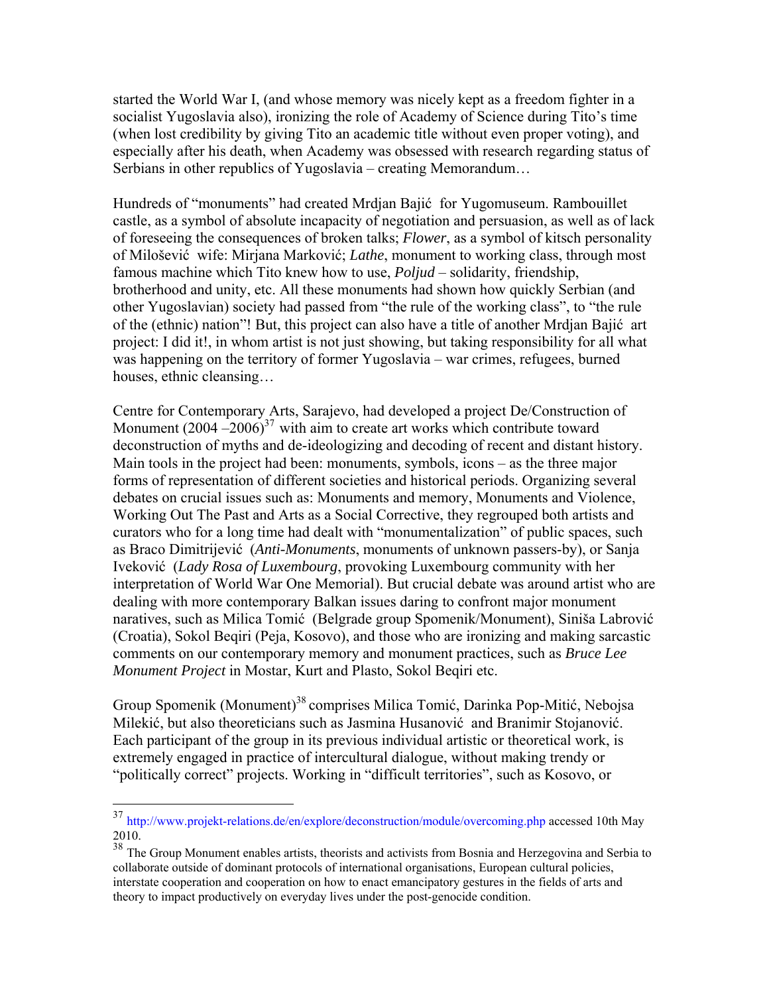started the World War I, (and whose memory was nicely kept as a freedom fighter in a socialist Yugoslavia also), ironizing the role of Academy of Science during Tito's time (when lost credibility by giving Tito an academic title without even proper voting), and especially after his death, when Academy was obsessed with research regarding status of Serbians in other republics of Yugoslavia – creating Memorandum…

Hundreds of "monuments" had created Mrdjan Bajić for Yugomuseum. Rambouillet castle, as a symbol of absolute incapacity of negotiation and persuasion, as well as of lack of foreseeing the consequences of broken talks; *Flower*, as a symbol of kitsch personality of Milošević wife: Mirjana Marković; *Lathe*, monument to working class, through most famous machine which Tito knew how to use, *Poljud* – solidarity, friendship, brotherhood and unity, etc. All these monuments had shown how quickly Serbian (and other Yugoslavian) society had passed from "the rule of the working class", to "the rule of the (ethnic) nation"! But, this project can also have a title of another Mrdjan Bajić art project: I did it!, in whom artist is not just showing, but taking responsibility for all what was happening on the territory of former Yugoslavia – war crimes, refugees, burned houses, ethnic cleansing…

Centre for Contemporary Arts, Sarajevo, had developed a project De/Construction of Monument  $(2004 - 2006)^{37}$  with aim to create art works which contribute toward deconstruction of myths and de-ideologizing and decoding of recent and distant history. Main tools in the project had been: monuments, symbols, icons – as the three major forms of representation of different societies and historical periods. Organizing several debates on crucial issues such as: Monuments and memory, Monuments and Violence, Working Out The Past and Arts as a Social Corrective, they regrouped both artists and curators who for a long time had dealt with "monumentalization" of public spaces, such as Braco Dimitrijević (*Anti-Monuments*, monuments of unknown passers-by), or Sanja Iveković (*Lady Rosa of Luxembourg*, provoking Luxembourg community with her interpretation of World War One Memorial). But crucial debate was around artist who are dealing with more contemporary Balkan issues daring to confront major monument naratives, such as Milica Tomić (Belgrade group Spomenik/Monument), Siniša Labrović (Croatia), Sokol Beqiri (Peja, Kosovo), and those who are ironizing and making sarcastic comments on our contemporary memory and monument practices, such as *Bruce Lee Monument Project* in Mostar, Kurt and Plasto, Sokol Beqiri etc.

Group Spomenik (Monument)<sup>[38](#page-19-1)</sup> comprises Milica Tomić, Darinka Pop-Mitić, Nebojsa Milekić, but also theoreticians such as Jasmina Husanović and Branimir Stojanović. Each participant of the group in its previous individual artistic or theoretical work, is extremely engaged in practice of intercultural dialogue, without making trendy or "politically correct" projects. Working in "difficult territories", such as Kosovo, or

<span id="page-19-0"></span><sup>&</sup>lt;sup>37</sup> http://www.projekt-relations.de/en/explore/deconstruction/module/overcoming.php accessed 10th May 2010.

<span id="page-19-1"></span><sup>&</sup>lt;sup>38</sup> The Group Monument enables artists, theorists and activists from Bosnia and Herzegovina and Serbia to collaborate outside of dominant protocols of international organisations, European cultural policies, interstate cooperation and cooperation on how to enact emancipatory gestures in the fields of arts and theory to impact productively on everyday lives under the post-genocide condition.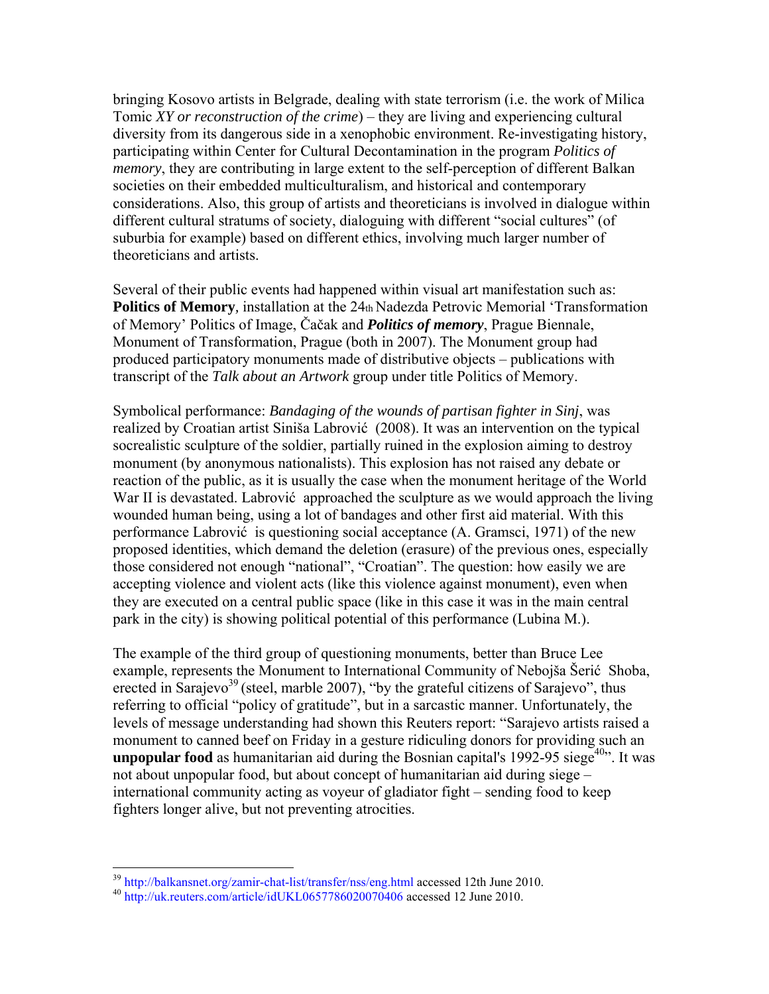bringing Kosovo artists in Belgrade, dealing with state terrorism (i.e. the work of Milica Tomic *XY or reconstruction of the crime*) – they are living and experiencing cultural diversity from its dangerous side in a xenophobic environment. Re-investigating history, participating within Center for Cultural Decontamination in the program *Politics of memory*, they are contributing in large extent to the self-perception of different Balkan societies on their embedded multiculturalism, and historical and contemporary considerations. Also, this group of artists and theoreticians is involved in dialogue within different cultural stratums of society, dialoguing with different "social cultures" (of suburbia for example) based on different ethics, involving much larger number of theoreticians and artists.

Several of their public events had happened within visual art manifestation such as: **Politics of Memory**, installation at the 24th Nadezda Petrovic Memorial 'Transformation of Memory' Politics of Image, Čačak and *Politics of memory*, Prague Biennale, Monument of Transformation, Prague (both in 2007). The Monument group had produced participatory monuments made of distributive objects – publications with transcript of the *Talk about an Artwork* group under title Politics of Memory.

Symbolical performance: *Bandaging of the wounds of partisan fighter in Sinj*, was realized by Croatian artist Siniša Labrović (2008). It was an intervention on the typical socrealistic sculpture of the soldier, partially ruined in the explosion aiming to destroy monument (by anonymous nationalists). This explosion has not raised any debate or reaction of the public, as it is usually the case when the monument heritage of the World War II is devastated. Labrović approached the sculpture as we would approach the living wounded human being, using a lot of bandages and other first aid material. With this performance Labrović is questioning social acceptance (A. Gramsci, 1971) of the new proposed identities, which demand the deletion (erasure) of the previous ones, especially those considered not enough "national", "Croatian". The question: how easily we are accepting violence and violent acts (like this violence against monument), even when they are executed on a central public space (like in this case it was in the main central park in the city) is showing political potential of this performance (Lubina M.).

The example of the third group of questioning monuments, better than Bruce Lee example, represents the Monument to International Community of Nebojša Šerić Shoba, erected in Sarajevo<sup>[39](#page-20-0)</sup> (steel, marble 2007), "by the grateful citizens of Sarajevo", thus referring to official "policy of gratitude", but in a sarcastic manner. Unfortunately, the levels of message understanding had shown this Reuters report: "Sarajevo artists raised a monument to canned beef on Friday in a gesture ridiculing donors for providing such an **unpopular food** as humanitarian aid during the Bosnian capital's  $1992-95$  siege<sup> $40$ </sup>. It was not about unpopular food, but about concept of humanitarian aid during siege – international community acting as voyeur of gladiator fight – sending food to keep fighters longer alive, but not preventing atrocities.

<span id="page-20-0"></span> $^{39}$  http://balkansnet.org/zamir-chat-list/transfer/nss/eng.html accessed 12th June 2010.<br> $^{40}$  http://uk.reuters.com/article/idUKL0657786020070406 accessed 12 June 2010.

<span id="page-20-1"></span>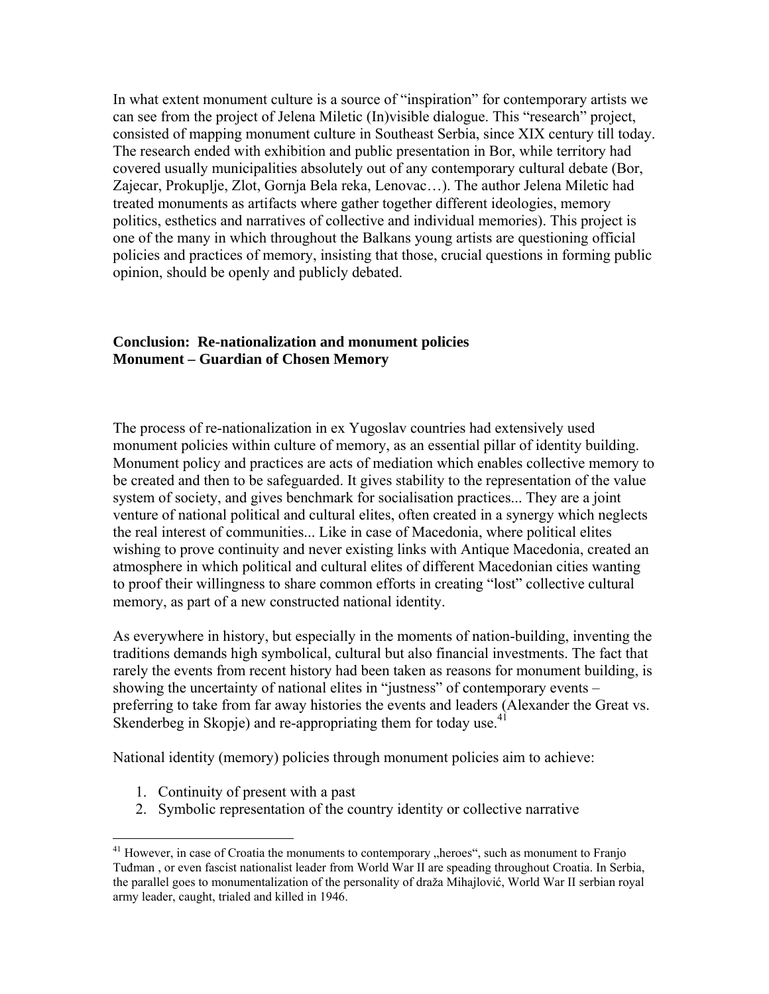In what extent monument culture is a source of "inspiration" for contemporary artists we can see from the project of Jelena Miletic (In)visible dialogue. This "research" project, consisted of mapping monument culture in Southeast Serbia, since XIX century till today. The research ended with exhibition and public presentation in Bor, while territory had covered usually municipalities absolutely out of any contemporary cultural debate (Bor, Zajecar, Prokuplje, Zlot, Gornja Bela reka, Lenovac…). The author Jelena Miletic had treated monuments as artifacts where gather together different ideologies, memory politics, esthetics and narratives of collective and individual memories). This project is one of the many in which throughout the Balkans young artists are questioning official policies and practices of memory, insisting that those, crucial questions in forming public opinion, should be openly and publicly debated.

## **Conclusion: Re-nationalization and monument policies Monument – Guardian of Chosen Memory**

The process of re-nationalization in ex Yugoslav countries had extensively used monument policies within culture of memory, as an essential pillar of identity building. Monument policy and practices are acts of mediation which enables collective memory to be created and then to be safeguarded. It gives stability to the representation of the value system of society, and gives benchmark for socialisation practices... They are a joint venture of national political and cultural elites, often created in a synergy which neglects the real interest of communities... Like in case of Macedonia, where political elites wishing to prove continuity and never existing links with Antique Macedonia, created an atmosphere in which political and cultural elites of different Macedonian cities wanting to proof their willingness to share common efforts in creating "lost" collective cultural memory, as part of a new constructed national identity.

As everywhere in history, but especially in the moments of nation-building, inventing the traditions demands high symbolical, cultural but also financial investments. The fact that rarely the events from recent history had been taken as reasons for monument building, is showing the uncertainty of national elites in "justness" of contemporary events – preferring to take from far away histories the events and leaders (Alexander the Great vs. Skenderbeg in Skopje) and re-appropriating them for today use.<sup>[41](#page-21-0)</sup>

National identity (memory) policies through monument policies aim to achieve:

1. Continuity of present with a past

 $\overline{a}$ 

2. Symbolic representation of the country identity or collective narrative

<span id="page-21-0"></span> $41$  However, in case of Croatia the monuments to contemporary  $n$ , heroes", such as monument to Franjo Tuđman , or even fascist nationalist leader from World War II are speading throughout Croatia. In Serbia, the parallel goes to monumentalization of the personality of draža Mihajlović, World War II serbian royal army leader, caught, trialed and killed in 1946.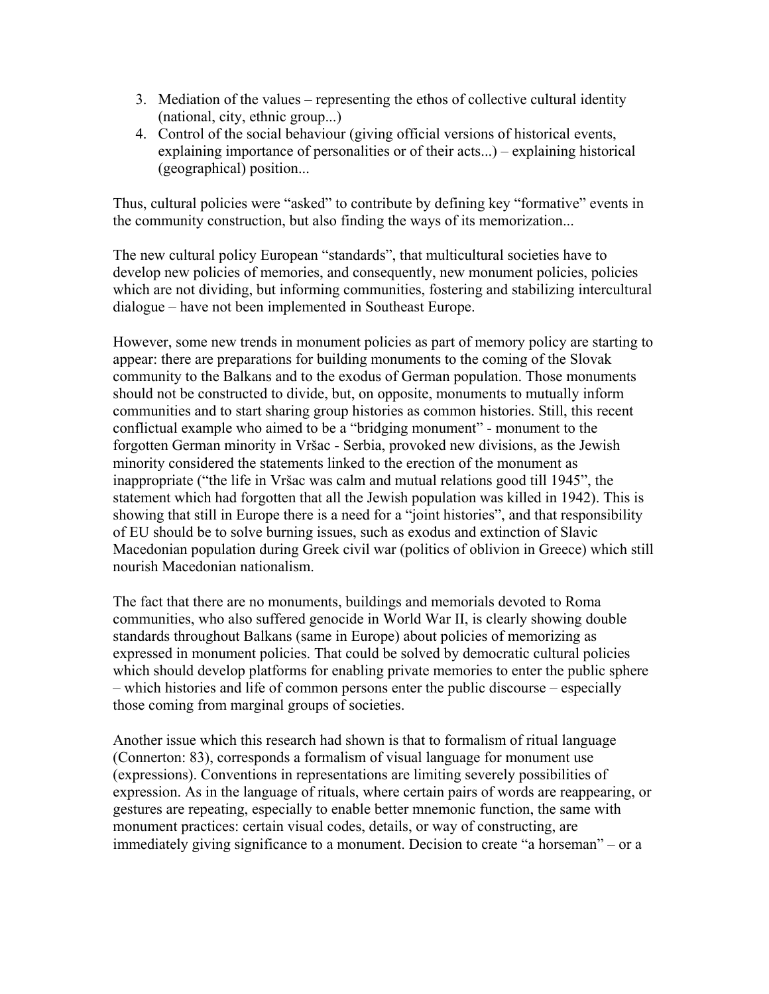- 3. Mediation of the values representing the ethos of collective cultural identity (national, city, ethnic group...)
- 4. Control of the social behaviour (giving official versions of historical events, explaining importance of personalities or of their acts...) – explaining historical (geographical) position...

Thus, cultural policies were "asked" to contribute by defining key "formative" events in the community construction, but also finding the ways of its memorization...

The new cultural policy European "standards", that multicultural societies have to develop new policies of memories, and consequently, new monument policies, policies which are not dividing, but informing communities, fostering and stabilizing intercultural dialogue – have not been implemented in Southeast Europe.

However, some new trends in monument policies as part of memory policy are starting to appear: there are preparations for building monuments to the coming of the Slovak community to the Balkans and to the exodus of German population. Those monuments should not be constructed to divide, but, on opposite, monuments to mutually inform communities and to start sharing group histories as common histories. Still, this recent conflictual example who aimed to be a "bridging monument" - monument to the forgotten German minority in Vršac - Serbia, provoked new divisions, as the Jewish minority considered the statements linked to the erection of the monument as inappropriate ("the life in Vršac was calm and mutual relations good till 1945", the statement which had forgotten that all the Jewish population was killed in 1942). This is showing that still in Europe there is a need for a "joint histories", and that responsibility of EU should be to solve burning issues, such as exodus and extinction of Slavic Macedonian population during Greek civil war (politics of oblivion in Greece) which still nourish Macedonian nationalism.

The fact that there are no monuments, buildings and memorials devoted to Roma communities, who also suffered genocide in World War II, is clearly showing double standards throughout Balkans (same in Europe) about policies of memorizing as expressed in monument policies. That could be solved by democratic cultural policies which should develop platforms for enabling private memories to enter the public sphere – which histories and life of common persons enter the public discourse – especially those coming from marginal groups of societies.

Another issue which this research had shown is that to formalism of ritual language (Connerton: 83), corresponds a formalism of visual language for monument use (expressions). Conventions in representations are limiting severely possibilities of expression. As in the language of rituals, where certain pairs of words are reappearing, or gestures are repeating, especially to enable better mnemonic function, the same with monument practices: certain visual codes, details, or way of constructing, are immediately giving significance to a monument. Decision to create "a horseman" – or a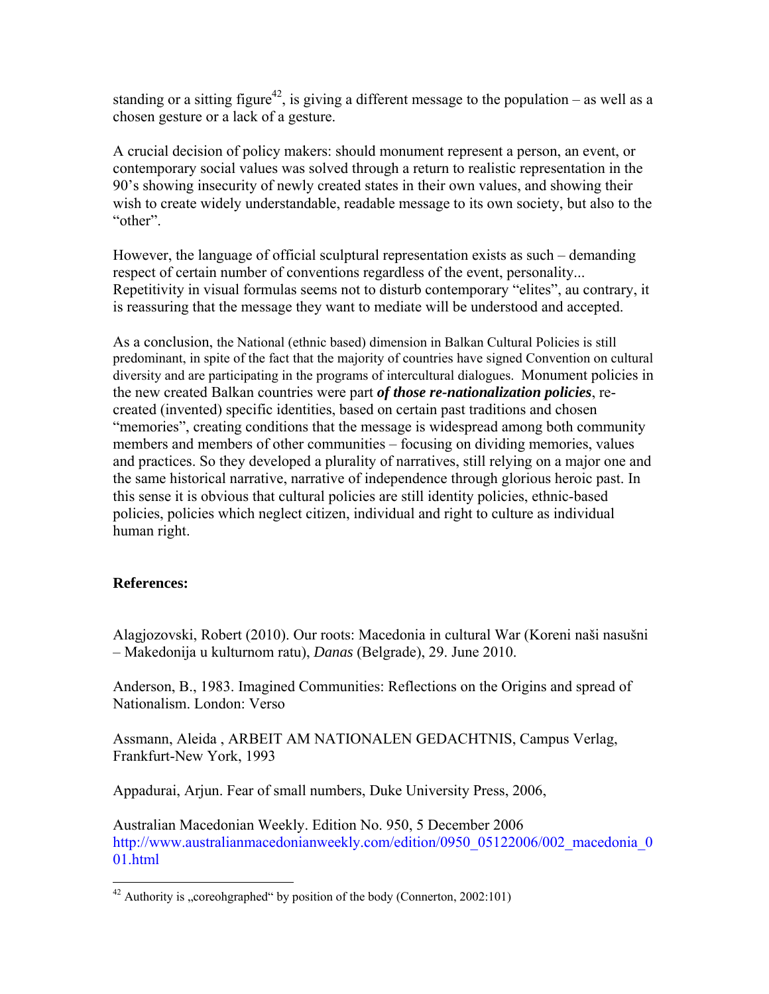standing or a sitting figure<sup>42</sup>, is giving a different message to the population – as well as a chosen gesture or a lack of a gesture.

A crucial decision of policy makers: should monument represent a person, an event, or contemporary social values was solved through a return to realistic representation in the 90's showing insecurity of newly created states in their own values, and showing their wish to create widely understandable, readable message to its own society, but also to the "other".

However, the language of official sculptural representation exists as such – demanding respect of certain number of conventions regardless of the event, personality... Repetitivity in visual formulas seems not to disturb contemporary "elites", au contrary, it is reassuring that the message they want to mediate will be understood and accepted.

As a conclusion, the National (ethnic based) dimension in Balkan Cultural Policies is still predominant, in spite of the fact that the majority of countries have signed Convention on cultural diversity and are participating in the programs of intercultural dialogues. Monument policies in the new created Balkan countries were part *of those re-nationalization policies*, recreated (invented) specific identities, based on certain past traditions and chosen "memories", creating conditions that the message is widespread among both community members and members of other communities – focusing on dividing memories, values and practices. So they developed a plurality of narratives, still relying on a major one and the same historical narrative, narrative of independence through glorious heroic past. In this sense it is obvious that cultural policies are still identity policies, ethnic-based policies, policies which neglect citizen, individual and right to culture as individual human right.

## **References:**

 $\overline{a}$ 

Alagjozovski, Robert (2010). Our roots: Macedonia in cultural War (Koreni naši nasušni – Makedonija u kulturnom ratu), *Danas* (Belgrade), 29. June 2010.

Anderson, B., 1983. Imagined Communities: Reflections on the Origins and spread of Nationalism. London: Verso

Assmann, Aleida , ARBEIT AM NATIONALEN GEDACHTNIS, Campus Verlag, Frankfurt-New York, 1993

Appadurai, Arjun. Fear of small numbers, Duke University Press, 2006,

Australian Macedonian Weekly. Edition No. 950, 5 December 2006 http://www.australianmacedonianweekly.com/edition/0950\_05122006/002\_macedonia\_0 01.html

<span id="page-23-0"></span><sup>&</sup>lt;sup>42</sup> Authority is "coreohgraphed" by position of the body (Connerton, 2002:101)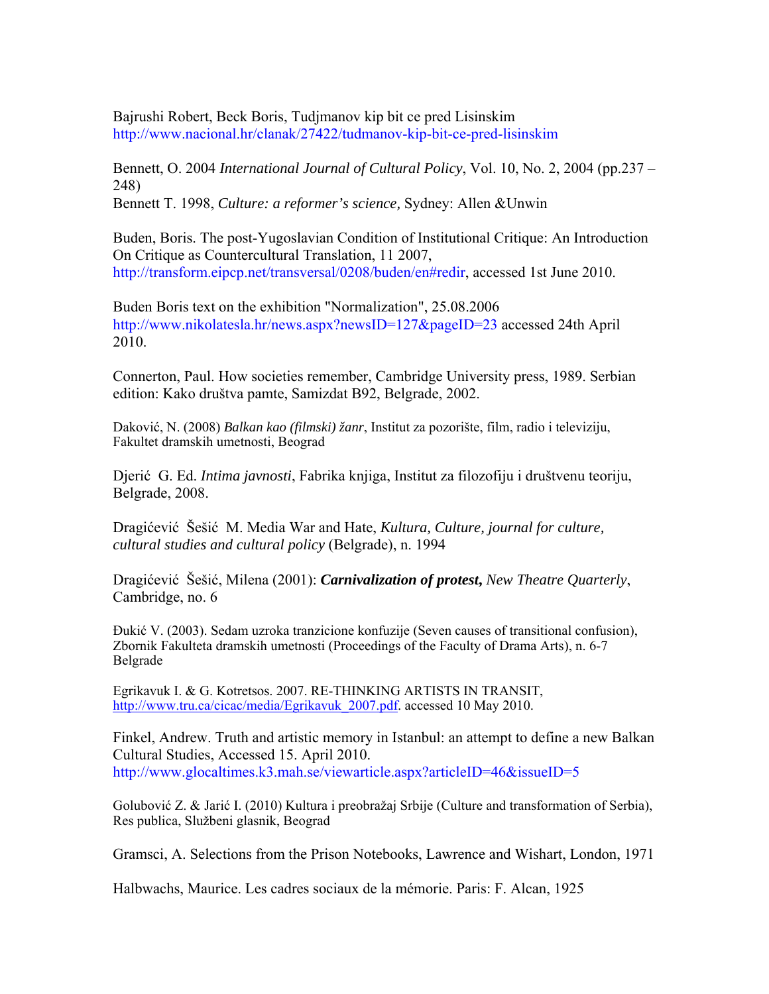Bajrushi Robert, Beck Boris, Tudjmanov kip bit ce pred Lisinskim http://www.nacional.hr/clanak/27422/tudmanov-kip-bit-ce-pred-lisinskim

Bennett, O. 2004 *International Journal of Cultural Policy*, Vol. 10, No. 2, 2004 (pp.237 – 248) Bennett T. 1998, *Culture: a reformer's science,* Sydney: Allen &Unwin

Buden, Boris. The post-Yugoslavian Condition of Institutional Critique: An Introduction On Critique as Countercultural Translation, 11 2007, http://transform.eipcp.net/transversal/0208/buden/en#redir, accessed 1st June 2010.

Buden Boris text on the exhibition "Normalization", 25.08.2006 http://www.nikolatesla.hr/news.aspx?newsID=127&pageID=23 accessed 24th April 2010.

Connerton, Paul. How societies remember, Cambridge University press, 1989. Serbian edition: Kako društva pamte, Samizdat B92, Belgrade, 2002.

Daković, N. (2008) *Balkan kao (filmski) žanr*, Institut za pozorište, film, radio i televiziju, Fakultet dramskih umetnosti, Beograd

Djerić G. Ed. *Intima javnosti*, Fabrika knjiga, Institut za filozofiju i društvenu teoriju, Belgrade, 2008.

Dragićević Šešić M. Media War and Hate, *Kultura, Culture, journal for culture, cultural studies and cultural policy* (Belgrade), n. 1994

Dragićević Šešić, Milena (2001): *Carnivalization of protest***,** *New Theatre Quarterly*, Cambridge, no. 6

Đukić V. (2003). Sedam uzroka tranzicione konfuzije (Seven causes of transitional confusion), Zbornik Fakulteta dramskih umetnosti (Proceedings of the Faculty of Drama Arts), n. 6-7 Belgrade

Egrikavuk I. & G. Kotretsos. 2007. RE-THINKING ARTISTS IN TRANSIT, [http://www.tru.ca/cicac/media/Egrikavuk\\_2007.pdf.](http://www.tru.ca/cicac/media/Egrikavuk_2007.pdf) accessed 10 May 2010.

Finkel, Andrew. Truth and artistic memory in Istanbul: an attempt to define a new Balkan Cultural Studies, Accessed 15. April 2010. http://www.glocaltimes.k3.mah.se/viewarticle.aspx?articleID=46&issueID=5

Golubović Z. & Jarić I. (2010) Kultura i preobražaj Srbije (Culture and transformation of Serbia), Res publica, Službeni glasnik, Beograd

Gramsci, A. Selections from the Prison Notebooks, Lawrence and Wishart, London, 1971

Halbwachs, Maurice. Les cadres sociaux de la mémorie. Paris: F. Alcan, 1925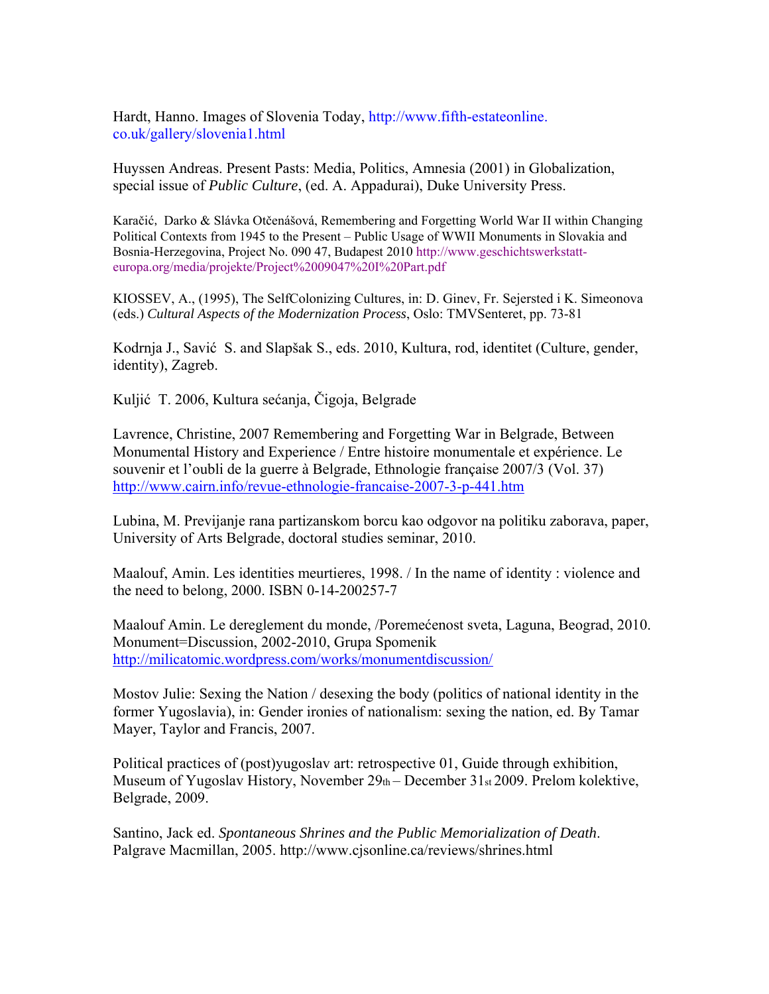Hardt, Hanno. Images of Slovenia Today, http://www.fifth-estateonline. co.uk/gallery/slovenia1.html

Huyssen Andreas. Present Pasts: Media, Politics, Amnesia (2001) in Globalization, special issue of *Public Culture*, (ed. A. Appadurai), Duke University Press.

Karačić, Darko & Slávka Otčenášová, Remembering and Forgetting World War II within Changing Political Contexts from 1945 to the Present – Public Usage of WWII Monuments in Slovakia and Bosnia-Herzegovina, Project No. 090 47, Budapest 2010 http://www.geschichtswerkstatteuropa.org/media/projekte/Project%2009047%20I%20Part.pdf

KIOSSEV, A., (1995), The SelfColonizing Cultures, in: D. Ginev, Fr. Sejersted i K. Simeonova (eds.) *Cultural Aspects of the Modernization Process*, Oslo: TMVSenteret, pp. 73-81

Kodrnja J., Savić S. and Slapšak S., eds. 2010, Kultura, rod, identitet (Culture, gender, identity), Zagreb.

Kuljić T. 2006, Kultura sećanja, Čigoja, Belgrade

Lavrence, Christine, 2007 Remembering and Forgetting War in Belgrade, Between Monumental History and Experience / Entre histoire monumentale et expérience. Le souvenir et l'oubli de la guerre à Belgrade, Ethnologie française 2007/3 (Vol. 37) <http://www.cairn.info/revue-ethnologie-francaise-2007-3-p-441.htm>

Lubina, M. Previjanje rana partizanskom borcu kao odgovor na politiku zaborava, paper, University of Arts Belgrade, doctoral studies seminar, 2010.

Maalouf, Amin. Les identities meurtieres, 1998. / In the name of identity : violence and the need to belong, 2000. ISBN 0-14-200257-7

Maalouf Amin. Le dereglement du monde, /Poremećenost sveta, Laguna, Beograd, 2010. Monument=Discussion, 2002-2010, Grupa Spomenik <http://milicatomic.wordpress.com/works/monumentdiscussion/>

Mostov Julie: Sexing the Nation / desexing the body (politics of national identity in the former Yugoslavia), in: Gender ironies of nationalism: sexing the nation, ed. By Tamar Mayer, Taylor and Francis, 2007.

Political practices of (post)yugoslav art: retrospective 01, Guide through exhibition, Museum of Yugoslav History, November 29th – December 31st 2009. Prelom kolektive, Belgrade, 2009.

Santino, Jack ed. *Spontaneous Shrines and the Public Memorialization of Death*. Palgrave Macmillan, 2005. http://www.cjsonline.ca/reviews/shrines.html